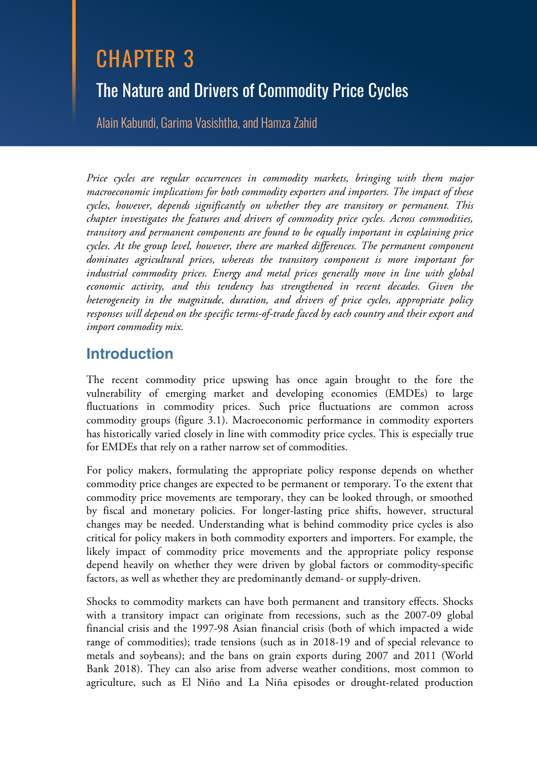# CHAPTER 3 The Nature and Drivers of Commodity Price Cycles

Alain Kabundi, Garima Vasishtha, and Hamza Zahid

*Price cycles are regular occurrences in commodity markets, bringing with them major macroeconomic implications for both commodity exporters and importers. The impact of these cycles, however, depends significantly on whether they are transitory or permanent. This chapter investigates the features and drivers of commodity price cycles. Across commodities, transitory and permanent components are found to be equally important in explaining price cycles. At the group level, however, there are marked differences. The permanent component dominates agricultural prices, whereas the transitory component is more important for industrial commodity prices. Energy and metal prices generally move in line with global economic activity, and this tendency has strengthened in recent decades. Given the heterogeneity in the magnitude, duration, and drivers of price cycles, appropriate policy responses will depend on the specific terms-of-trade faced by each country and their export and import commodity mix.* 

## **Introduction**

The recent commodity price upswing has once again brought to the fore the vulnerability of emerging market and developing economies (EMDEs) to large fluctuations in commodity prices. Such price fluctuations are common across commodity groups (figure 3.1). Macroeconomic performance in commodity exporters has historically varied closely in line with commodity price cycles. This is especially true for EMDEs that rely on a rather narrow set of commodities.

For policy makers, formulating the appropriate policy response depends on whether commodity price changes are expected to be permanent or temporary. To the extent that commodity price movements are temporary, they can be looked through, or smoothed by fiscal and monetary policies. For longer-lasting price shifts, however, structural changes may be needed. Understanding what is behind commodity price cycles is also critical for policy makers in both commodity exporters and importers. For example, the likely impact of commodity price movements and the appropriate policy response depend heavily on whether they were driven by global factors or commodity-specific factors, as well as whether they are predominantly demand- or supply-driven.

Shocks to commodity markets can have both permanent and transitory effects. Shocks with a transitory impact can originate from recessions, such as the 2007-09 global financial crisis and the 1997-98 Asian financial crisis (both of which impacted a wide range of commodities); trade tensions (such as in 2018-19 and of special relevance to metals and soybeans); and the bans on grain exports during 2007 and 2011 (World Bank 2018). They can also arise from adverse weather conditions, most common to agriculture, such as El Niño and La Niña episodes or drought-related production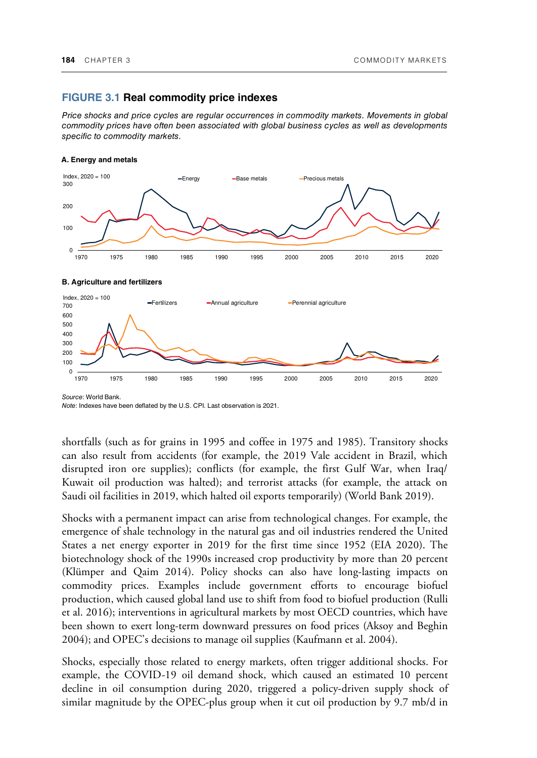#### **FIGURE 3.1 Real commodity price indexes**

*Price shocks and price cycles are regular occurrences in commodity markets. Movements in global commodity prices have often been associated with global business cycles as well as developments specific to commodity markets.* 



#### **A. Energy and metals**

*Source*: World Bank.

*Note*: Indexes have been deflated by the U.S. CPI. Last observation is 2021.

shortfalls (such as for grains in 1995 and coffee in 1975 and 1985). Transitory shocks can also result from accidents (for example, the 2019 Vale accident in Brazil, which disrupted iron ore supplies); conflicts (for example, the first Gulf War, when Iraq/ Kuwait oil production was halted); and terrorist attacks (for example, the attack on Saudi oil facilities in 2019, which halted oil exports temporarily) (World Bank 2019).

Shocks with a permanent impact can arise from technological changes. For example, the emergence of shale technology in the natural gas and oil industries rendered the United States a net energy exporter in 2019 for the first time since 1952 (EIA 2020). The biotechnology shock of the 1990s increased crop productivity by more than 20 percent (Klümper and Qaim 2014). Policy shocks can also have long-lasting impacts on commodity prices. Examples include government efforts to encourage biofuel production, which caused global land use to shift from food to biofuel production (Rulli et al. 2016); interventions in agricultural markets by most OECD countries, which have been shown to exert long-term downward pressures on food prices (Aksoy and Beghin 2004); and OPEC's decisions to manage oil supplies (Kaufmann et al. 2004).

Shocks, especially those related to energy markets, often trigger additional shocks. For example, the COVID-19 oil demand shock, which caused an estimated 10 percent decline in oil consumption during 2020, triggered a policy-driven supply shock of similar magnitude by the OPEC-plus group when it cut oil production by 9.7 mb/d in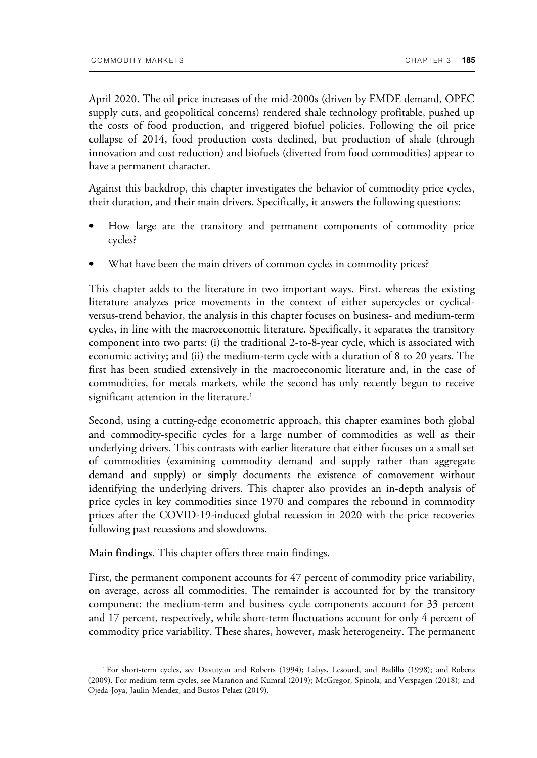April 2020. The oil price increases of the mid-2000s (driven by EMDE demand, OPEC supply cuts, and geopolitical concerns) rendered shale technology profitable, pushed up the costs of food production, and triggered biofuel policies. Following the oil price collapse of 2014, food production costs declined, but production of shale (through innovation and cost reduction) and biofuels (diverted from food commodities) appear to have a permanent character.

Against this backdrop, this chapter investigates the behavior of commodity price cycles, their duration, and their main drivers. Specifically, it answers the following questions:

- How large are the transitory and permanent components of commodity price cycles?
- What have been the main drivers of common cycles in commodity prices?

This chapter adds to the literature in two important ways. First, whereas the existing literature analyzes price movements in the context of either supercycles or cyclicalversus-trend behavior, the analysis in this chapter focuses on business- and medium-term cycles, in line with the macroeconomic literature. Specifically, it separates the transitory component into two parts: (i) the traditional 2-to-8-year cycle, which is associated with economic activity; and (ii) the medium-term cycle with a duration of 8 to 20 years. The first has been studied extensively in the macroeconomic literature and, in the case of commodities, for metals markets, while the second has only recently begun to receive significant attention in the literature.<sup>1</sup>

Second, using a cutting-edge econometric approach, this chapter examines both global and commodity-specific cycles for a large number of commodities as well as their underlying drivers. This contrasts with earlier literature that either focuses on a small set of commodities (examining commodity demand and supply rather than aggregate demand and supply) or simply documents the existence of comovement without identifying the underlying drivers. This chapter also provides an in-depth analysis of price cycles in key commodities since 1970 and compares the rebound in commodity prices after the COVID-19-induced global recession in 2020 with the price recoveries following past recessions and slowdowns.

**Main findings.** This chapter offers three main findings.

First, the permanent component accounts for 47 percent of commodity price variability, on average, across all commodities. The remainder is accounted for by the transitory component: the medium-term and business cycle components account for 33 percent and 17 percent, respectively, while short-term fluctuations account for only 4 percent of commodity price variability. These shares, however, mask heterogeneity. The permanent

<sup>1</sup>For short-term cycles, see Davutyan and Roberts (1994); Labys, Lesourd, and Badillo (1998); and Roberts (2009). For medium-term cycles, see Marañon and Kumral (2019); McGregor, Spinola, and Verspagen (2018); and Ojeda-Joya, Jaulin-Mendez, and Bustos-Pelaez (2019).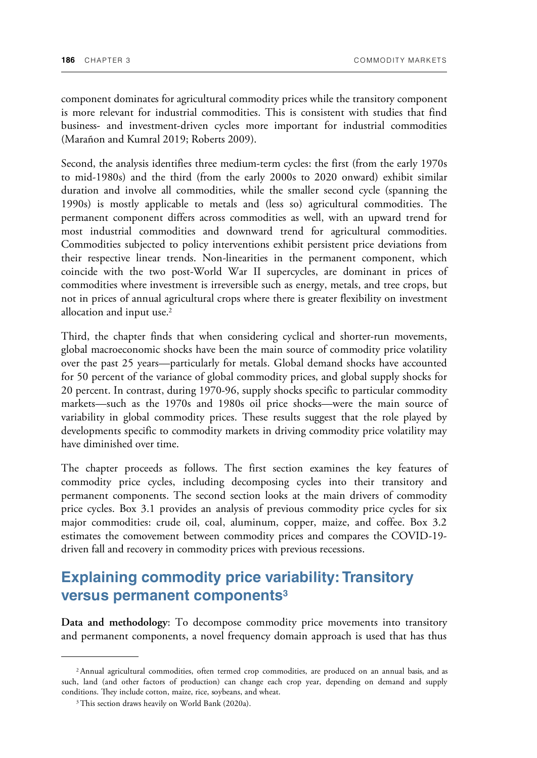component dominates for agricultural commodity prices while the transitory component is more relevant for industrial commodities. This is consistent with studies that find business- and investment-driven cycles more important for industrial commodities (Marañon and Kumral 2019; Roberts 2009).

Second, the analysis identifies three medium-term cycles: the first (from the early 1970s to mid-1980s) and the third (from the early 2000s to 2020 onward) exhibit similar duration and involve all commodities, while the smaller second cycle (spanning the 1990s) is mostly applicable to metals and (less so) agricultural commodities. The permanent component differs across commodities as well, with an upward trend for most industrial commodities and downward trend for agricultural commodities. Commodities subjected to policy interventions exhibit persistent price deviations from their respective linear trends. Non-linearities in the permanent component, which coincide with the two post-World War II supercycles, are dominant in prices of commodities where investment is irreversible such as energy, metals, and tree crops, but not in prices of annual agricultural crops where there is greater flexibility on investment allocation and input use.<sup>2</sup>

Third, the chapter finds that when considering cyclical and shorter-run movements, global macroeconomic shocks have been the main source of commodity price volatility over the past 25 years—particularly for metals. Global demand shocks have accounted for 50 percent of the variance of global commodity prices, and global supply shocks for 20 percent. In contrast, during 1970-96, supply shocks specific to particular commodity markets—such as the 1970s and 1980s oil price shocks—were the main source of variability in global commodity prices. These results suggest that the role played by developments specific to commodity markets in driving commodity price volatility may have diminished over time.

The chapter proceeds as follows. The first section examines the key features of commodity price cycles, including decomposing cycles into their transitory and permanent components. The second section looks at the main drivers of commodity price cycles. Box 3.1 provides an analysis of previous commodity price cycles for six major commodities: crude oil, coal, aluminum, copper, maize, and coffee. Box 3.2 estimates the comovement between commodity prices and compares the COVID-19 driven fall and recovery in commodity prices with previous recessions.

## **Explaining commodity price variability: Transitory versus permanent components<sup>3</sup>**

**Data and methodology**: To decompose commodity price movements into transitory and permanent components, a novel frequency domain approach is used that has thus

<sup>2</sup>Annual agricultural commodities, often termed crop commodities, are produced on an annual basis, and as such, land (and other factors of production) can change each crop year, depending on demand and supply conditions. They include cotton, maize, rice, soybeans, and wheat.

<sup>&</sup>lt;sup>3</sup> This section draws heavily on World Bank (2020a).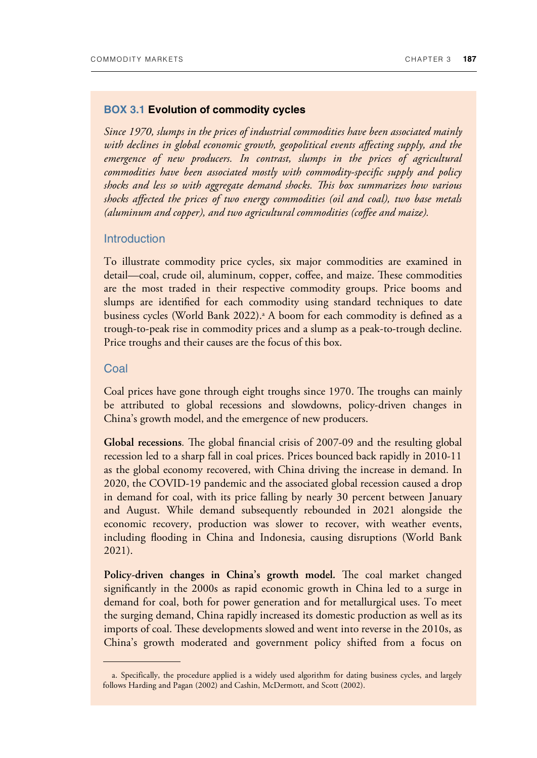#### **BOX 3.1 Evolution of commodity cycles**

*Since 1970, slumps in the prices of industrial commodities have been associated mainly with declines in global economic growth, geopolitical events affecting supply, and the*  emergence of new producers. In contrast, slumps in the prices of agricultural *commodities have been associated mostly with commodity-specific supply and policy shocks and less so with aggregate demand shocks. +is box summarizes how various shocks affected the prices of two energy commodities (oil and coal), two base metals (aluminum and copper), and two agricultural commodities (coffee and maize).* 

#### **Introduction**

To illustrate commodity price cycles, six major commodities are examined in detail—coal, crude oil, aluminum, copper, coffee, and maize. These commodities are the most traded in their respective commodity groups. Price booms and slumps are identified for each commodity using standard techniques to date business cycles (World Bank 2022).ª A boom for each commodity is defined as a trough-to-peak rise in commodity prices and a slump as a peak-to-trough decline. Price troughs and their causes are the focus of this box.

#### **Coal**

Coal prices have gone through eight troughs since 1970. The troughs can mainly be attributed to global recessions and slowdowns, policy-driven changes in China's growth model, and the emergence of new producers.

**Global recessions.** The global financial crisis of 2007-09 and the resulting global recession led to a sharp fall in coal prices. Prices bounced back rapidly in 2010-11 as the global economy recovered, with China driving the increase in demand. In 2020, the COVID-19 pandemic and the associated global recession caused a drop in demand for coal, with its price falling by nearly 30 percent between January and August. While demand subsequently rebounded in 2021 alongside the economic recovery, production was slower to recover, with weather events, including flooding in China and Indonesia, causing disruptions (World Bank 2021).

**Policy-driven changes in China's growth model.** The coal market changed significantly in the 2000s as rapid economic growth in China led to a surge in demand for coal, both for power generation and for metallurgical uses. To meet the surging demand, China rapidly increased its domestic production as well as its imports of coal. These developments slowed and went into reverse in the 2010s, as China's growth moderated and government policy shifted from a focus on

a. Specifically, the procedure applied is a widely used algorithm for dating business cycles, and largely follows Harding and Pagan (2002) and Cashin, McDermott, and Scott (2002).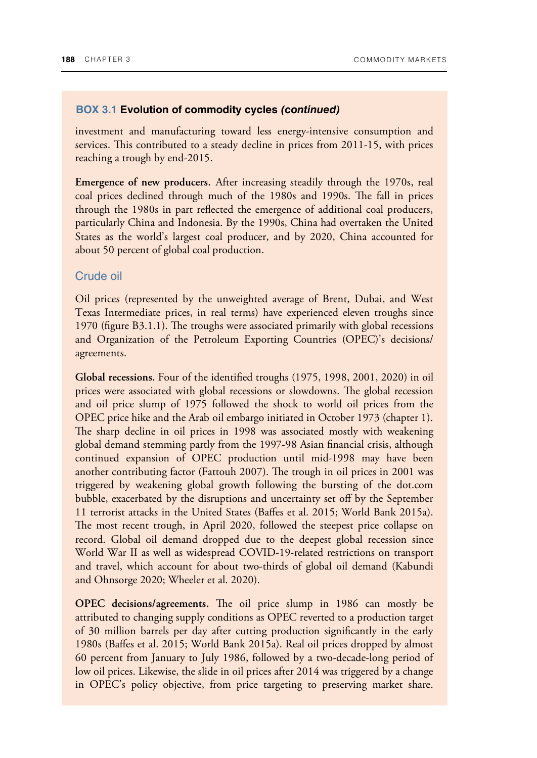investment and manufacturing toward less energy-intensive consumption and services. This contributed to a steady decline in prices from 2011-15, with prices reaching a trough by end-2015.

**Emergence of new producers.** After increasing steadily through the 1970s, real coal prices declined through much of the 1980s and 1990s. The fall in prices through the 1980s in part reflected the emergence of additional coal producers, particularly China and Indonesia. By the 1990s, China had overtaken the United States as the world's largest coal producer, and by 2020, China accounted for about 50 percent of global coal production.

#### Crude oil

Oil prices (represented by the unweighted average of Brent, Dubai, and West Texas Intermediate prices, in real terms) have experienced eleven troughs since 1970 (figure B3.1.1). The troughs were associated primarily with global recessions and Organization of the Petroleum Exporting Countries (OPEC)'s decisions/ agreements.

**Global recessions.** Four of the identified troughs (1975, 1998, 2001, 2020) in oil prices were associated with global recessions or slowdowns. The global recession and oil price slump of 1975 followed the shock to world oil prices from the OPEC price hike and the Arab oil embargo initiated in October 1973 (chapter 1). The sharp decline in oil prices in 1998 was associated mostly with weakening global demand stemming partly from the 1997-98 Asian financial crisis, although continued expansion of OPEC production until mid-1998 may have been another contributing factor (Fattouh 2007). The trough in oil prices in 2001 was triggered by weakening global growth following the bursting of the dot.com bubble, exacerbated by the disruptions and uncertainty set off by the September 11 terrorist attacks in the United States (Baffes et al. 2015; World Bank 2015a). The most recent trough, in April 2020, followed the steepest price collapse on record. Global oil demand dropped due to the deepest global recession since World War II as well as widespread COVID-19-related restrictions on transport and travel, which account for about two-thirds of global oil demand (Kabundi and Ohnsorge 2020; Wheeler et al. 2020).

**OPEC** decisions/agreements. The oil price slump in 1986 can mostly be attributed to changing supply conditions as OPEC reverted to a production target of 30 million barrels per day after cutting production significantly in the early 1980s (Baffes et al. 2015; World Bank 2015a). Real oil prices dropped by almost 60 percent from January to July 1986, followed by a two-decade-long period of low oil prices. Likewise, the slide in oil prices after 2014 was triggered by a change in OPEC's policy objective, from price targeting to preserving market share.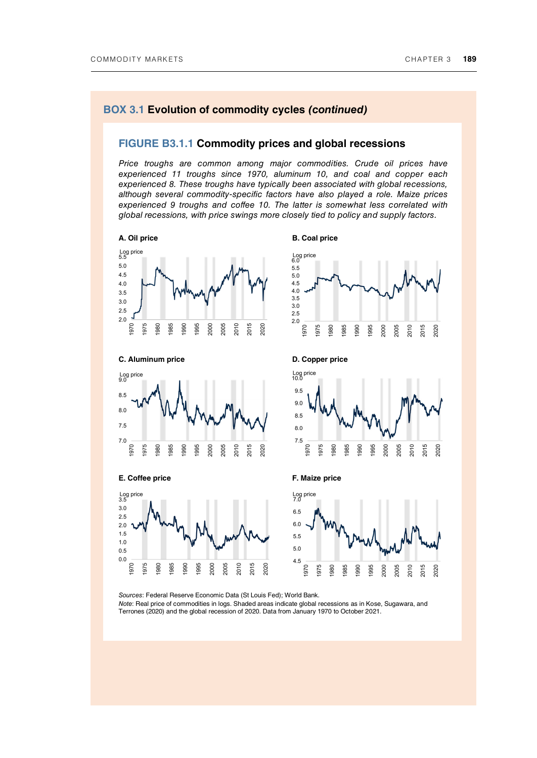#### **FIGURE B3.1.1 Commodity prices and global recessions**

*Price troughs are common among major commodities. Crude oil prices have experienced 11 troughs since 1970, aluminum 10, and coal and copper each experienced 8. These troughs have typically been associated with global recessions, although several commodity-specific factors have also played a role. Maize prices experienced 9 troughs and coffee 10. The latter is somewhat less correlated with global recessions, with price swings more closely tied to policy and supply factors.* 









1995 2000 2005

 $9.0$ 

Log price<br>10.0 9.5





Log price<br>3.5  $3.0$ 

 $2.5$ 

 $2.0$  $1.5$ 

 $1.0$ 

 $0.5$  $0.0$ 

1970 1975 1980 1985 **990** 



*Sources*: Federal Reserve Economic Data (St Louis Fed); World Bank. *Note*: Real price of commodities in logs. Shaded areas indicate global recessions as in Kose, Sugawara, and

Terrones (2020) and the global recession of 2020. Data from January 1970 to October 2021.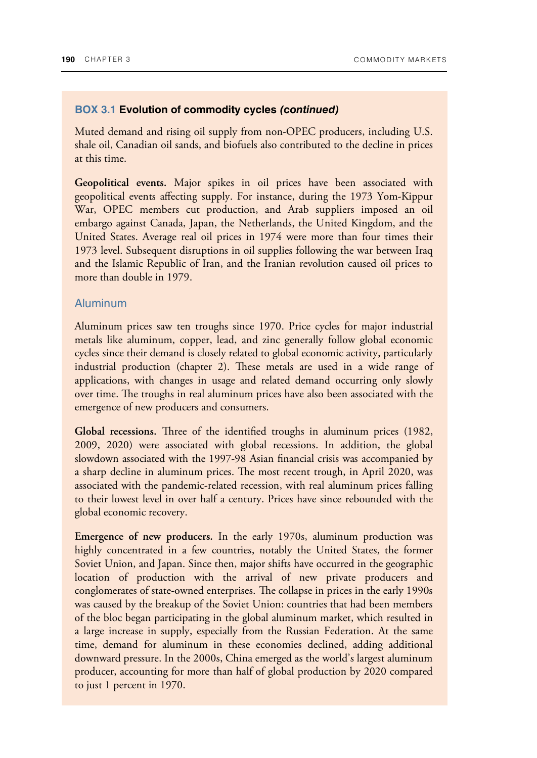Muted demand and rising oil supply from non-OPEC producers, including U.S. shale oil, Canadian oil sands, and biofuels also contributed to the decline in prices at this time.

**Geopolitical events.** Major spikes in oil prices have been associated with geopolitical events affecting supply. For instance, during the 1973 Yom-Kippur War, OPEC members cut production, and Arab suppliers imposed an oil embargo against Canada, Japan, the Netherlands, the United Kingdom, and the United States. Average real oil prices in 1974 were more than four times their 1973 level. Subsequent disruptions in oil supplies following the war between Iraq and the Islamic Republic of Iran, and the Iranian revolution caused oil prices to more than double in 1979.

#### Aluminum

Aluminum prices saw ten troughs since 1970. Price cycles for major industrial metals like aluminum, copper, lead, and zinc generally follow global economic cycles since their demand is closely related to global economic activity, particularly industrial production (chapter 2). These metals are used in a wide range of applications, with changes in usage and related demand occurring only slowly over time. The troughs in real aluminum prices have also been associated with the emergence of new producers and consumers.

Global recessions. Three of the identified troughs in aluminum prices (1982, 2009, 2020) were associated with global recessions. In addition, the global slowdown associated with the 1997-98 Asian financial crisis was accompanied by a sharp decline in aluminum prices. The most recent trough, in April 2020, was associated with the pandemic-related recession, with real aluminum prices falling to their lowest level in over half a century. Prices have since rebounded with the global economic recovery.

**Emergence of new producers***.* In the early 1970s, aluminum production was highly concentrated in a few countries, notably the United States, the former Soviet Union, and Japan. Since then, major shifts have occurred in the geographic location of production with the arrival of new private producers and conglomerates of state-owned enterprises. The collapse in prices in the early 1990s was caused by the breakup of the Soviet Union: countries that had been members of the bloc began participating in the global aluminum market, which resulted in a large increase in supply, especially from the Russian Federation. At the same time, demand for aluminum in these economies declined, adding additional downward pressure. In the 2000s, China emerged as the world's largest aluminum producer, accounting for more than half of global production by 2020 compared to just 1 percent in 1970.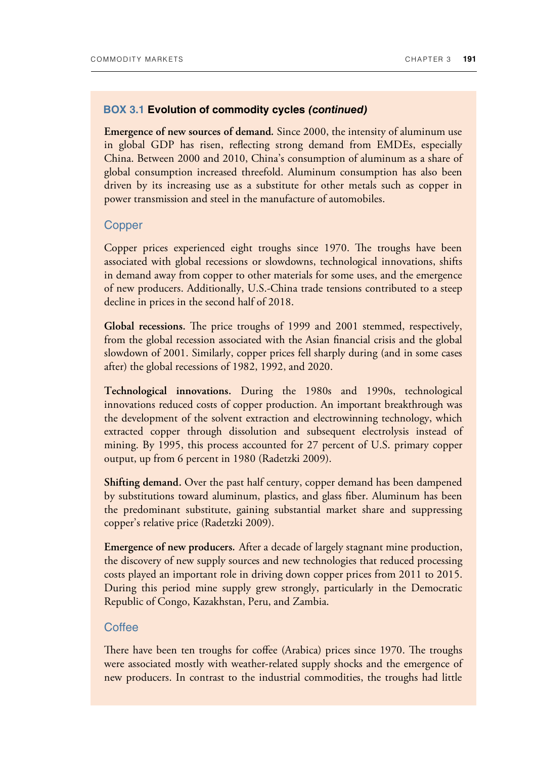**Emergence of new sources of demand***.* Since 2000, the intensity of aluminum use in global GDP has risen, reflecting strong demand from EMDEs, especially China. Between 2000 and 2010, China's consumption of aluminum as a share of global consumption increased threefold. Aluminum consumption has also been driven by its increasing use as a substitute for other metals such as copper in power transmission and steel in the manufacture of automobiles.

#### **Copper**

Copper prices experienced eight troughs since 1970. The troughs have been associated with global recessions or slowdowns, technological innovations, shifts in demand away from copper to other materials for some uses, and the emergence of new producers. Additionally, U.S.-China trade tensions contributed to a steep decline in prices in the second half of 2018.

**Global recessions.** The price troughs of 1999 and 2001 stemmed, respectively, from the global recession associated with the Asian financial crisis and the global slowdown of 2001. Similarly, copper prices fell sharply during (and in some cases after) the global recessions of 1982, 1992, and 2020.

**Technological innovations.** During the 1980s and 1990s, technological innovations reduced costs of copper production. An important breakthrough was the development of the solvent extraction and electrowinning technology, which extracted copper through dissolution and subsequent electrolysis instead of mining. By 1995, this process accounted for 27 percent of U.S. primary copper output, up from 6 percent in 1980 (Radetzki 2009).

**Shifting demand.** Over the past half century, copper demand has been dampened by substitutions toward aluminum, plastics, and glass fiber. Aluminum has been the predominant substitute, gaining substantial market share and suppressing copper's relative price (Radetzki 2009).

**Emergence of new producers***.* After a decade of largely stagnant mine production, the discovery of new supply sources and new technologies that reduced processing costs played an important role in driving down copper prices from 2011 to 2015. During this period mine supply grew strongly, particularly in the Democratic Republic of Congo, Kazakhstan, Peru, and Zambia.

#### **Coffee**

There have been ten troughs for coffee (Arabica) prices since 1970. The troughs were associated mostly with weather-related supply shocks and the emergence of new producers. In contrast to the industrial commodities, the troughs had little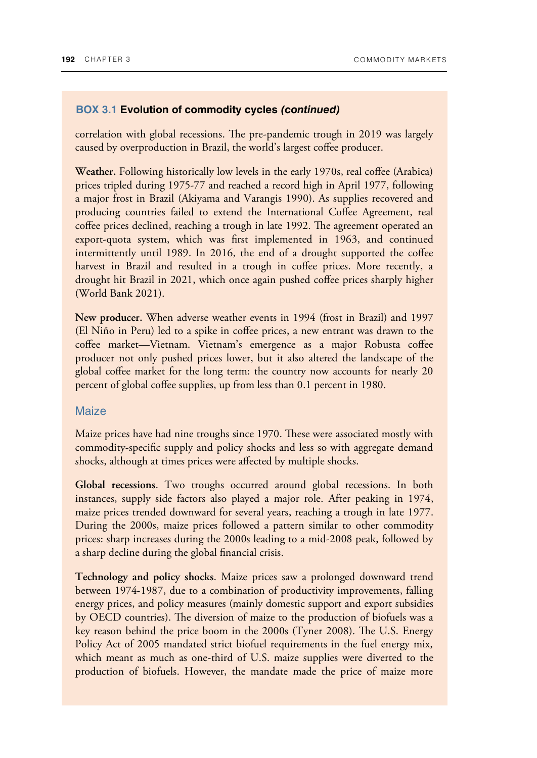correlation with global recessions. The pre-pandemic trough in 2019 was largely caused by overproduction in Brazil, the world's largest coffee producer.

**Weather.** Following historically low levels in the early 1970s, real coffee (Arabica) prices tripled during 1975-77 and reached a record high in April 1977, following a major frost in Brazil (Akiyama and Varangis 1990). As supplies recovered and producing countries failed to extend the International Coffee Agreement, real coffee prices declined, reaching a trough in late 1992. The agreement operated an export-quota system, which was first implemented in 1963, and continued intermittently until 1989. In 2016, the end of a drought supported the coffee harvest in Brazil and resulted in a trough in coffee prices. More recently, a drought hit Brazil in 2021, which once again pushed coffee prices sharply higher (World Bank 2021).

**New producer.** When adverse weather events in 1994 (frost in Brazil) and 1997 (El Niño in Peru) led to a spike in coffee prices, a new entrant was drawn to the coffee market—Vietnam. Vietnam's emergence as a major Robusta coffee producer not only pushed prices lower, but it also altered the landscape of the global coffee market for the long term: the country now accounts for nearly 20 percent of global coffee supplies, up from less than 0.1 percent in 1980.

#### **Maize**

Maize prices have had nine troughs since 1970. These were associated mostly with commodity-specific supply and policy shocks and less so with aggregate demand shocks, although at times prices were affected by multiple shocks.

**Global recessions**. Two troughs occurred around global recessions. In both instances, supply side factors also played a major role. After peaking in 1974, maize prices trended downward for several years, reaching a trough in late 1977. During the 2000s, maize prices followed a pattern similar to other commodity prices: sharp increases during the 2000s leading to a mid-2008 peak, followed by a sharp decline during the global financial crisis.

**Technology and policy shocks**. Maize prices saw a prolonged downward trend between 1974-1987, due to a combination of productivity improvements, falling energy prices, and policy measures (mainly domestic support and export subsidies by OECD countries). The diversion of maize to the production of biofuels was a key reason behind the price boom in the 2000s (Tyner 2008). The U.S. Energy Policy Act of 2005 mandated strict biofuel requirements in the fuel energy mix, which meant as much as one-third of U.S. maize supplies were diverted to the production of biofuels. However, the mandate made the price of maize more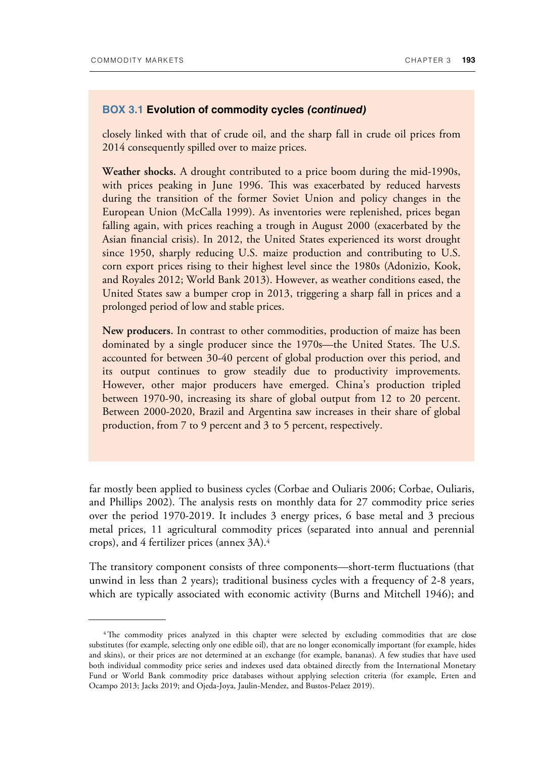closely linked with that of crude oil, and the sharp fall in crude oil prices from 2014 consequently spilled over to maize prices.

**Weather shocks.** A drought contributed to a price boom during the mid-1990s, with prices peaking in June 1996. This was exacerbated by reduced harvests during the transition of the former Soviet Union and policy changes in the European Union (McCalla 1999). As inventories were replenished, prices began falling again, with prices reaching a trough in August 2000 (exacerbated by the Asian financial crisis). In 2012, the United States experienced its worst drought since 1950, sharply reducing U.S. maize production and contributing to U.S. corn export prices rising to their highest level since the 1980s (Adonizio, Kook, and Royales 2012; World Bank 2013). However, as weather conditions eased, the United States saw a bumper crop in 2013, triggering a sharp fall in prices and a prolonged period of low and stable prices.

**New producers.** In contrast to other commodities, production of maize has been dominated by a single producer since the 1970s—the United States. The U.S. accounted for between 30-40 percent of global production over this period, and its output continues to grow steadily due to productivity improvements. However, other major producers have emerged. China's production tripled between 1970-90, increasing its share of global output from 12 to 20 percent. Between 2000-2020, Brazil and Argentina saw increases in their share of global production, from 7 to 9 percent and 3 to 5 percent, respectively.

far mostly been applied to business cycles (Corbae and Ouliaris 2006; Corbae, Ouliaris, and Phillips 2002). The analysis rests on monthly data for 27 commodity price series over the period 1970-2019. It includes 3 energy prices, 6 base metal and 3 precious metal prices, 11 agricultural commodity prices (separated into annual and perennial crops), and 4 fertilizer prices (annex 3A).<sup>4</sup>

The transitory component consists of three components—short-term fluctuations (that unwind in less than 2 years); traditional business cycles with a frequency of 2-8 years, which are typically associated with economic activity (Burns and Mitchell 1946); and

<sup>&</sup>lt;sup>4</sup>The commodity prices analyzed in this chapter were selected by excluding commodities that are close substitutes (for example, selecting only one edible oil), that are no longer economically important (for example, hides and skins), or their prices are not determined at an exchange (for example, bananas). A few studies that have used both individual commodity price series and indexes used data obtained directly from the International Monetary Fund or World Bank commodity price databases without applying selection criteria (for example, Erten and Ocampo 2013; Jacks 2019; and Ojeda-Joya, Jaulin-Mendez, and Bustos-Pelaez 2019).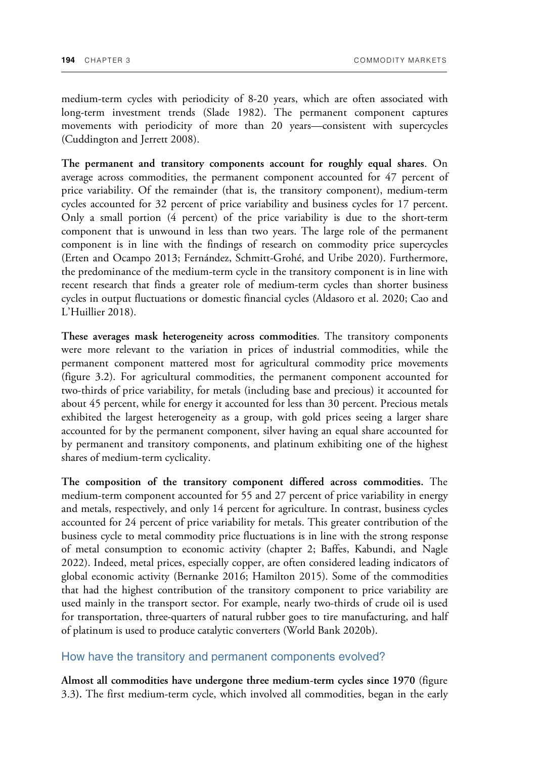medium-term cycles with periodicity of 8-20 years, which are often associated with long-term investment trends (Slade 1982). The permanent component captures movements with periodicity of more than 20 years—consistent with supercycles (Cuddington and Jerrett 2008).

**The permanent and transitory components account for roughly equal shares**. On average across commodities, the permanent component accounted for 47 percent of price variability. Of the remainder (that is, the transitory component), medium-term cycles accounted for 32 percent of price variability and business cycles for 17 percent. Only a small portion (4 percent) of the price variability is due to the short-term component that is unwound in less than two years. The large role of the permanent component is in line with the findings of research on commodity price supercycles (Erten and Ocampo 2013; Fernández, Schmitt-Grohé, and Uribe 2020). Furthermore, the predominance of the medium-term cycle in the transitory component is in line with recent research that finds a greater role of medium-term cycles than shorter business cycles in output fluctuations or domestic financial cycles (Aldasoro et al. 2020; Cao and L'Huillier 2018).

**These averages mask heterogeneity across commodities**. The transitory components were more relevant to the variation in prices of industrial commodities, while the permanent component mattered most for agricultural commodity price movements (figure 3.2). For agricultural commodities, the permanent component accounted for two-thirds of price variability, for metals (including base and precious) it accounted for about 45 percent, while for energy it accounted for less than 30 percent. Precious metals exhibited the largest heterogeneity as a group, with gold prices seeing a larger share accounted for by the permanent component, silver having an equal share accounted for by permanent and transitory components, and platinum exhibiting one of the highest shares of medium-term cyclicality.

**The composition of the transitory component differed across commodities.** The medium-term component accounted for 55 and 27 percent of price variability in energy and metals, respectively, and only 14 percent for agriculture. In contrast, business cycles accounted for 24 percent of price variability for metals. This greater contribution of the business cycle to metal commodity price fluctuations is in line with the strong response of metal consumption to economic activity (chapter 2; Baffes, Kabundi, and Nagle 2022). Indeed, metal prices, especially copper, are often considered leading indicators of global economic activity (Bernanke 2016; Hamilton 2015). Some of the commodities that had the highest contribution of the transitory component to price variability are used mainly in the transport sector. For example, nearly two-thirds of crude oil is used for transportation, three-quarters of natural rubber goes to tire manufacturing, and half of platinum is used to produce catalytic converters (World Bank 2020b).

#### How have the transitory and permanent components evolved?

**Almost all commodities have undergone three medium-term cycles since 1970** (figure 3.3**).** The first medium-term cycle, which involved all commodities, began in the early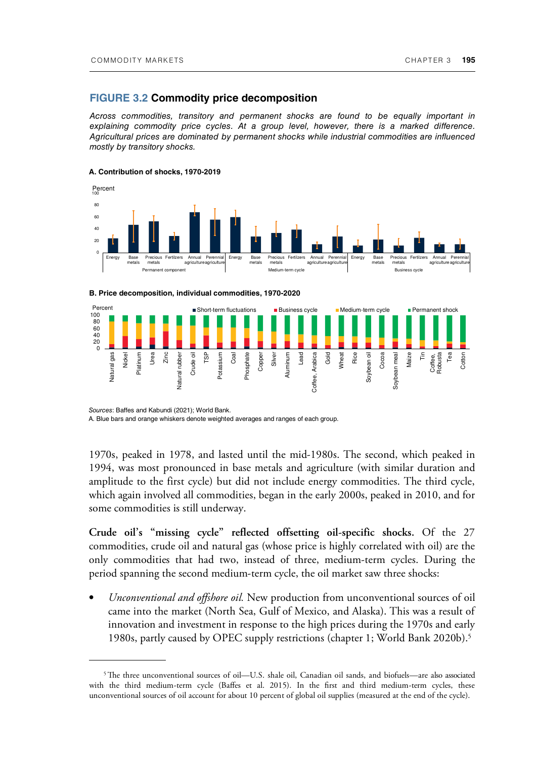#### **FIGURE 3.2 Commodity price decomposition**

*Across commodities, transitory and permanent shocks are found to be equally important in*  explaining commodity price cycles. At a group level, however, there is a marked difference. *Agricultural prices are dominated by permanent shocks while industrial commodities are influenced mostly by transitory shocks.* 

#### **A. Contribution of shocks, 1970-2019**







*Sources*: Baffes and Kabundi (2021); World Bank.

A. Blue bars and orange whiskers denote weighted averages and ranges of each group.

1970s, peaked in 1978, and lasted until the mid-1980s. The second, which peaked in 1994, was most pronounced in base metals and agriculture (with similar duration and amplitude to the first cycle) but did not include energy commodities. The third cycle, which again involved all commodities, began in the early 2000s, peaked in 2010, and for some commodities is still underway.

**Crude oil's "missing cycle" reflected offsetting oil-specific shocks.** Of the 27 commodities, crude oil and natural gas (whose price is highly correlated with oil) are the only commodities that had two, instead of three, medium-term cycles. During the period spanning the second medium-term cycle, the oil market saw three shocks:

• *Unconventional and offshore oil.* New production from unconventional sources of oil came into the market (North Sea, Gulf of Mexico, and Alaska). This was a result of innovation and investment in response to the high prices during the 1970s and early 1980s, partly caused by OPEC supply restrictions (chapter 1; World Bank 2020b).<sup>5</sup>

 $5$ The three unconventional sources of oil—U.S. shale oil, Canadian oil sands, and biofuels—are also associated with the third medium-term cycle (Baffes et al. 2015). In the first and third medium-term cycles, these unconventional sources of oil account for about 10 percent of global oil supplies (measured at the end of the cycle).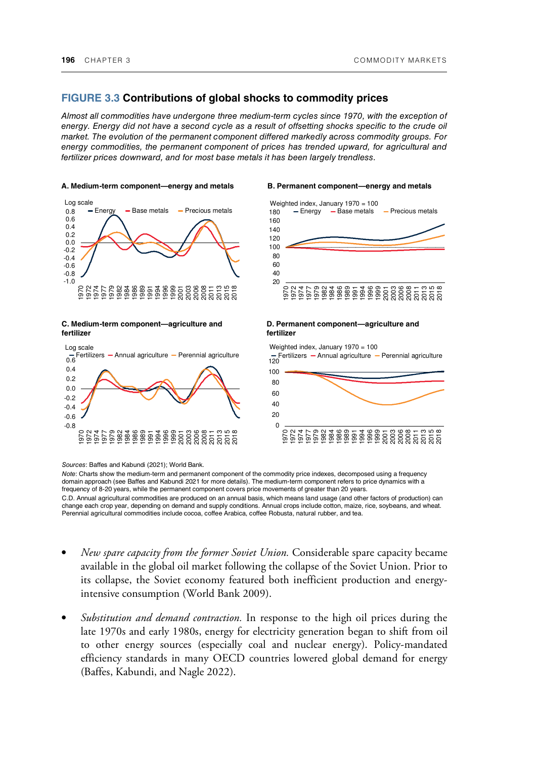#### **FIGURE 3.3 Contributions of global shocks to commodity prices**

*Almost all commodities have undergone three medium-term cycles since 1970, with the exception of energy. Energy did not have a second cycle as a result of offsetting shocks specific to the crude oil market. The evolution of the permanent component differed markedly across commodity groups. For energy commodities, the permanent component of prices has trended upward, for agricultural and fertilizer prices downward, and for most base metals it has been largely trendless.* 

#### **[A. Medium-term component—energy and metals B. Permanent component—energy and metals](https://thedocs.worldbank.org/en/doc/b4ff84b2d5dc4d0963a5074102460cc1-0350012022/related/Commodity-Markets-Chapter-3-charts.xlsx)**



**C. Medium-term component—agriculture and fertilizer** 





#### **D. Permanent component—agriculture and fertilizer**

 $\Omega$ 20  $40$ 60 80 100 120 Fertilizers Annual agriculture Perennial agriculture 1970 1972 1974 1977 1979 1982 1984 1986 1989 1991 1994 1996 ទី ៦ ១ ១ ១ ១ ១ ១ ១ ១ ១ ១ ១ ១ ១ ១ ១ ១ ១ ១<br>១ ១ ១ ១ ១ ១ ១ ១ ១ ១ ១ ១<br>១ ១ ១ ១ ១ ១ ១ ១ ១ ១ ១ Weighted index, January 1970 = 100

*Note*: Charts show the medium-term and permanent component of the commodity price indexes, decomposed using a frequency domain approach (see Baffes and Kabundi 2021 for more details). The medium-term component refers to price dynamics with a frequency of 8-20 years, while the permanent component covers price movements of greater than 20 years.

C.D. Annual agricultural commodities are produced on an annual basis, which means land usage (and other factors of production) can change each crop year, depending on demand and supply conditions. Annual crops include cotton, maize, rice, soybeans, and wheat.<br>Perennial agricultural commodities include cocoa, coffee Arabica, coffee Robusta, natural rub

- *New spare capacity from the former Soviet Union.* Considerable spare capacity became available in the global oil market following the collapse of the Soviet Union. Prior to its collapse, the Soviet economy featured both inefficient production and energyintensive consumption (World Bank 2009).
- *Substitution and demand contraction.* In response to the high oil prices during the late 1970s and early 1980s, energy for electricity generation began to shift from oil to other energy sources (especially coal and nuclear energy). Policy-mandated efficiency standards in many OECD countries lowered global demand for energy (Baffes, Kabundi, and Nagle 2022).

*Sources*: Baffes and Kabundi (2021); World Bank.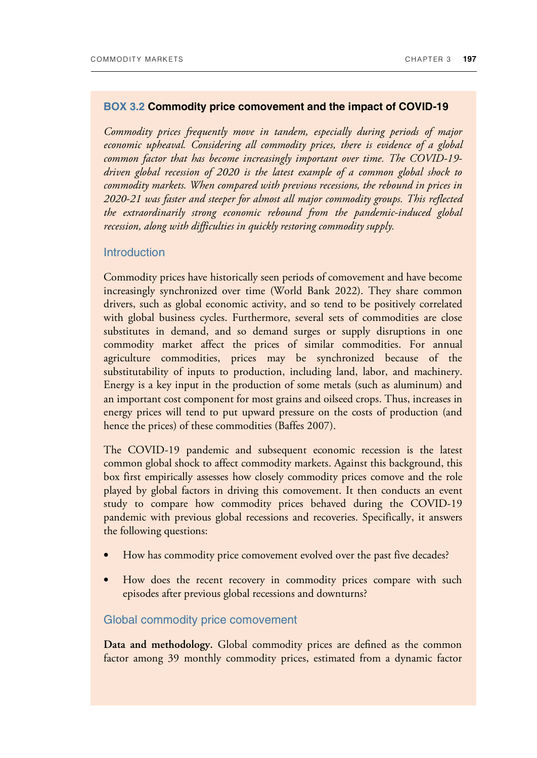#### **BOX 3.2 Commodity price comovement and the impact of COVID-19**

*Commodity prices frequently move in tandem, especially during periods of major economic upheaval. Considering all commodity prices, there is evidence of a global common factor that has become increasingly important over time. The COVID-19 driven global recession of 2020 is the latest example of a common global shock to commodity markets. When compared with previous recessions, the rebound in prices in 2020-21 was faster and steeper for almost all major commodity groups. This reflected the extraordinarily strong economic rebound from the pandemic-induced global recession, along with difficulties in quickly restoring commodity supply.*

#### Introduction

Commodity prices have historically seen periods of comovement and have become increasingly synchronized over time (World Bank 2022). They share common drivers, such as global economic activity, and so tend to be positively correlated with global business cycles. Furthermore, several sets of commodities are close substitutes in demand, and so demand surges or supply disruptions in one commodity market affect the prices of similar commodities. For annual agriculture commodities, prices may be synchronized because of the substitutability of inputs to production, including land, labor, and machinery. Energy is a key input in the production of some metals (such as aluminum) and an important cost component for most grains and oilseed crops. Thus, increases in energy prices will tend to put upward pressure on the costs of production (and hence the prices) of these commodities (Baffes 2007).

The COVID-19 pandemic and subsequent economic recession is the latest common global shock to affect commodity markets. Against this background, this box first empirically assesses how closely commodity prices comove and the role played by global factors in driving this comovement. It then conducts an event study to compare how commodity prices behaved during the COVID-19 pandemic with previous global recessions and recoveries. Specifically, it answers the following questions:

- How has commodity price comovement evolved over the past five decades?
- How does the recent recovery in commodity prices compare with such episodes after previous global recessions and downturns?

#### Global commodity price comovement

**Data and methodology.** Global commodity prices are defined as the common factor among 39 monthly commodity prices, estimated from a dynamic factor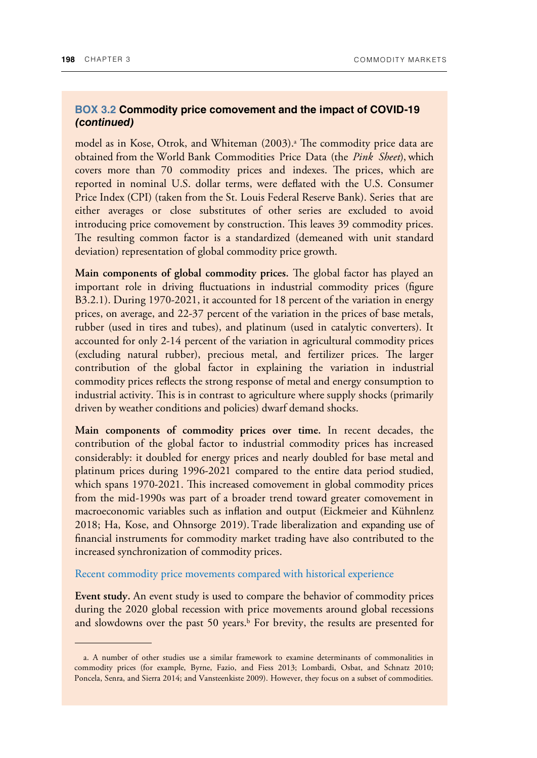#### **BOX 3.2 Commodity price comovement and the impact of COVID-19 (continued)**

model as in Kose, Otrok, and Whiteman (2003).ª The commodity price data are obtained from the World Bank Commodities Price Data (the *Pink Sheet*), which covers more than 70 commodity prices and indexes. The prices, which are reported in nominal U.S. dollar terms, were deflated with the U.S. Consumer Price Index (CPI) (taken from the St. Louis Federal Reserve Bank). Series that are either averages or close substitutes of other series are excluded to avoid introducing price comovement by construction. This leaves 39 commodity prices. The resulting common factor is a standardized (demeaned with unit standard deviation) representation of global commodity price growth.

**Main components of global commodity prices.** The global factor has played an important role in driving fluctuations in industrial commodity prices (figure B3.2.1). During 1970-2021, it accounted for 18 percent of the variation in energy prices, on average, and 22-37 percent of the variation in the prices of base metals, rubber (used in tires and tubes), and platinum (used in catalytic converters). It accounted for only 2-14 percent of the variation in agricultural commodity prices (excluding natural rubber), precious metal, and fertilizer prices. The larger contribution of the global factor in explaining the variation in industrial commodity prices reflects the strong response of metal and energy consumption to industrial activity. This is in contrast to agriculture where supply shocks (primarily driven by weather conditions and policies) dwarf demand shocks.

**Main components of commodity prices over time.** In recent decades, the contribution of the global factor to industrial commodity prices has increased considerably: it doubled for energy prices and nearly doubled for base metal and platinum prices during 1996-2021 compared to the entire data period studied, which spans 1970-2021. This increased comovement in global commodity prices from the mid-1990s was part of a broader trend toward greater comovement in macroeconomic variables such as inflation and output (Eickmeier and Kühnlenz 2018; Ha, Kose, and Ohnsorge 2019).Trade liberalization and expanding use of financial instruments for commodity market trading have also contributed to the increased synchronization of commodity prices.

Recent commodity price movements compared with historical experience

**Event study.** An event study is used to compare the behavior of commodity prices during the 2020 global recession with price movements around global recessions and slowdowns over the past 50 years.<sup>b</sup> For brevity, the results are presented for

a. A number of other studies use a similar framework to examine determinants of commonalities in commodity prices (for example, Byrne, Fazio, and Fiess 2013; Lombardi, Osbat, and Schnatz 2010; Poncela, Senra, and Sierra 2014; and Vansteenkiste 2009). However, they focus on a subset of commodities.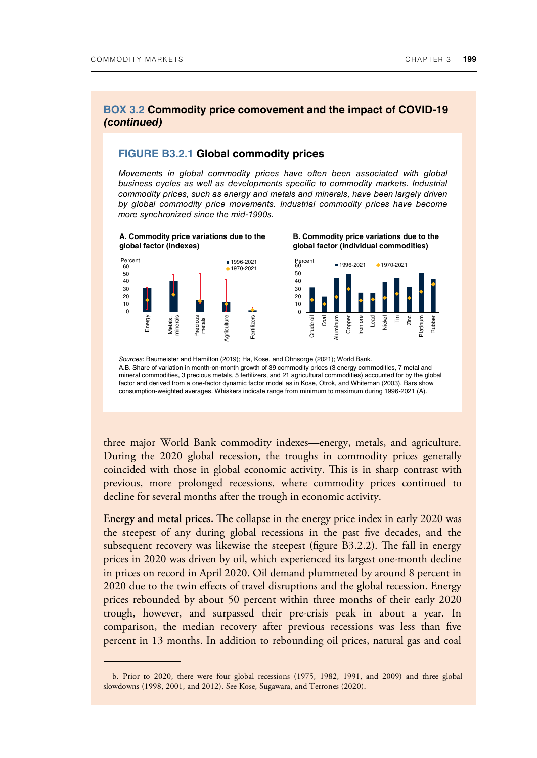#### **BOX 3.2 Commodity price comovement and the impact of COVID-19 (continued)**

#### **FIGURE B3.2.1 Global commodity prices**

*Movements in global commodity prices have often been associated with global business cycles as well as developments specific to commodity markets. Industrial commodity prices, such as energy and metals and minerals, have been largely driven by global commodity price movements. Industrial commodity prices have become more synchronized since the mid-1990s.* 



*Sources*: Baumeister and Hamilton (2019); Ha, Kose, and Ohnsorge (2021); World Bank.

A.B. Share of variation in month-on-month growth of 39 commodity prices (3 energy commodities, 7 metal and mineral commodities, 3 precious metals, 5 fertilizers, and 21 agricultural commodities) accounted for by the global factor and derived from a one-factor dynamic factor model as in Kose, Otrok, and Whiteman (2003). Bars show consumption-weighted averages. Whiskers indicate range from minimum to maximum during 1996-2021 (A).

three major World Bank commodity indexes—energy, metals, and agriculture. During the 2020 global recession, the troughs in commodity prices generally coincided with those in global economic activity. This is in sharp contrast with previous, more prolonged recessions, where commodity prices continued to decline for several months after the trough in economic activity.

**Energy and metal prices.** The collapse in the energy price index in early 2020 was the steepest of any during global recessions in the past five decades, and the subsequent recovery was likewise the steepest (figure B3.2.2). The fall in energy prices in 2020 was driven by oil, which experienced its largest one-month decline in prices on record in April 2020. Oil demand plummeted by around 8 percent in 2020 due to the twin effects of travel disruptions and the global recession. Energy prices rebounded by about 50 percent within three months of their early 2020 trough, however, and surpassed their pre-crisis peak in about a year. In comparison, the median recovery after previous recessions was less than five percent in 13 months. In addition to rebounding oil prices, natural gas and coal

b. Prior to 2020, there were four global recessions (1975, 1982, 1991, and 2009) and three global slowdowns (1998, 2001, and 2012). See Kose, Sugawara, and Terrones (2020).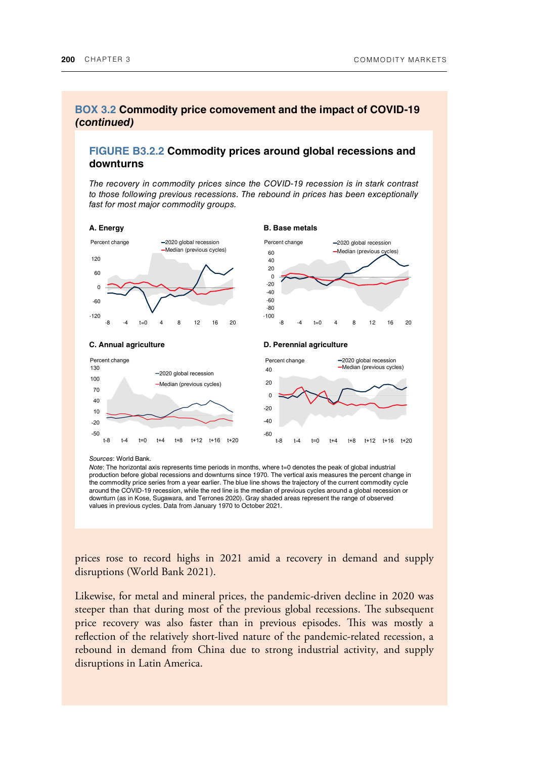t+12 t+16 t+20

 $t+8$ 

### **BOX 3.2 Commodity price comovement and the impact of COVID-19 (continued)**

### **FIGURE B3.2.2 Commodity prices around global recessions and downturns**

*The recovery in commodity prices since the COVID-19 recession is in stark contrast to those following previous recessions. The rebound in prices has been exceptionally fast for most major commodity groups.* 



#### *Sources*: World Bank.

 $t-8$  $t-4$  $t=0$  $t + 4$  $t+8$ 

*Note*: The horizontal axis represents time periods in months, where t=0 denotes the peak of global industrial production before global recessions and downturns since 1970. The vertical axis measures the percent change in the commodity price series from a year earlier. The blue line shows the trajectory of the current commodity cycle around the COVID-19 recession, while the red line is the median of previous cycles around a global recession or downturn (as in Kose, Sugawara, and Terrones 2020). Gray shaded areas represent the range of observed values in previous cycles. Data from January 1970 to October 2021.

 $t-8$ 

 $t-4$ 

 $t=0$ 

 $t + 4$ 

t+12 t+16 t+20

prices rose to record highs in 2021 amid a recovery in demand and supply disruptions (World Bank 2021).

Likewise, for metal and mineral prices, the pandemic-driven decline in 2020 was steeper than that during most of the previous global recessions. The subsequent price recovery was also faster than in previous episodes. This was mostly a reflection of the relatively short-lived nature of the pandemic-related recession, a rebound in demand from China due to strong industrial activity, and supply disruptions in Latin America.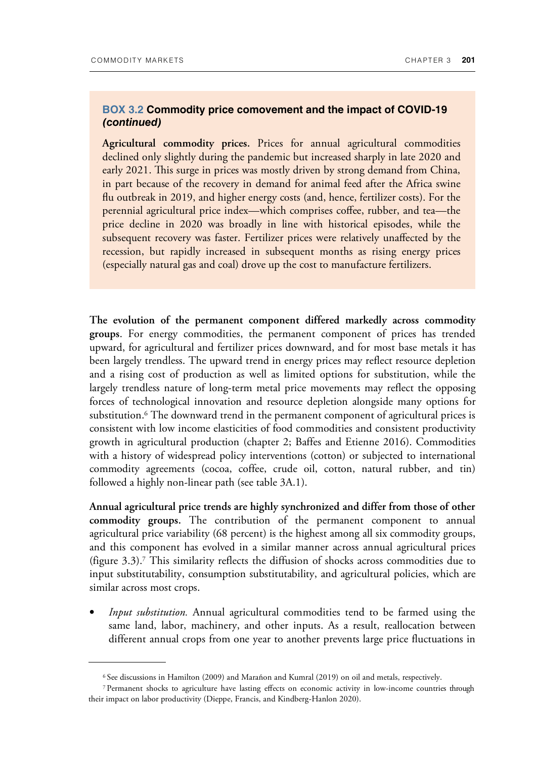### **BOX 3.2 Commodity price comovement and the impact of COVID-19 (continued)**

**Agricultural commodity prices.** Prices for annual agricultural commodities declined only slightly during the pandemic but increased sharply in late 2020 and early 2021. This surge in prices was mostly driven by strong demand from China, in part because of the recovery in demand for animal feed after the Africa swine flu outbreak in 2019, and higher energy costs (and, hence, fertilizer costs). For the perennial agricultural price index—which comprises coffee, rubber, and tea—the price decline in 2020 was broadly in line with historical episodes, while the subsequent recovery was faster. Fertilizer prices were relatively unaffected by the recession, but rapidly increased in subsequent months as rising energy prices (especially natural gas and coal) drove up the cost to manufacture fertilizers.

**The evolution of the permanent component differed markedly across commodity groups**. For energy commodities, the permanent component of prices has trended upward, for agricultural and fertilizer prices downward, and for most base metals it has been largely trendless. The upward trend in energy prices may reflect resource depletion and a rising cost of production as well as limited options for substitution, while the largely trendless nature of long-term metal price movements may reflect the opposing forces of technological innovation and resource depletion alongside many options for substitution.<sup>6</sup> The downward trend in the permanent component of agricultural prices is consistent with low income elasticities of food commodities and consistent productivity growth in agricultural production (chapter 2; Baffes and Etienne 2016). Commodities with a history of widespread policy interventions (cotton) or subjected to international commodity agreements (cocoa, coffee, crude oil, cotton, natural rubber, and tin) followed a highly non-linear path (see table 3A.1).

**Annual agricultural price trends are highly synchronized and differ from those of other commodity groups.** The contribution of the permanent component to annual agricultural price variability (68 percent) is the highest among all six commodity groups, and this component has evolved in a similar manner across annual agricultural prices (figure 3.3).<sup>7</sup> This similarity reflects the diffusion of shocks across commodities due to input substitutability, consumption substitutability, and agricultural policies, which are similar across most crops.

• *Input substitution.* Annual agricultural commodities tend to be farmed using the same land, labor, machinery, and other inputs. As a result, reallocation between different annual crops from one year to another prevents large price fluctuations in

<sup>6</sup>See discussions in Hamilton (2009) and Marañon and Kumral (2019) on oil and metals, respectively.

<sup>7</sup>Permanent shocks to agriculture have lasting effects on economic activity in low-income countries through their impact on labor productivity (Dieppe, Francis, and Kindberg-Hanlon 2020).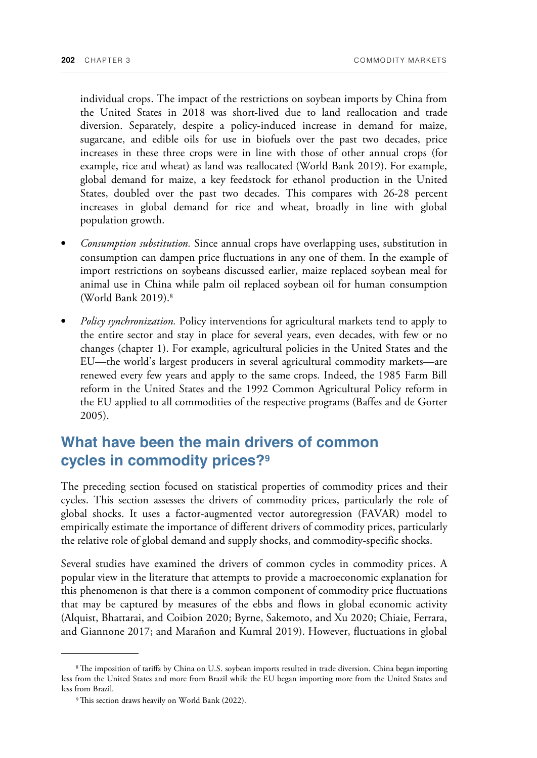individual crops. The impact of the restrictions on soybean imports by China from the United States in 2018 was short-lived due to land reallocation and trade diversion. Separately, despite a policy-induced increase in demand for maize, sugarcane, and edible oils for use in biofuels over the past two decades, price increases in these three crops were in line with those of other annual crops (for example, rice and wheat) as land was reallocated (World Bank 2019). For example, global demand for maize, a key feedstock for ethanol production in the United States, doubled over the past two decades. This compares with 26-28 percent increases in global demand for rice and wheat, broadly in line with global population growth.

- *Consumption substitution.* Since annual crops have overlapping uses, substitution in consumption can dampen price fluctuations in any one of them. In the example of import restrictions on soybeans discussed earlier, maize replaced soybean meal for animal use in China while palm oil replaced soybean oil for human consumption (World Bank 2019).<sup>8</sup>
- *Policy synchronization.* Policy interventions for agricultural markets tend to apply to the entire sector and stay in place for several years, even decades, with few or no changes (chapter 1). For example, agricultural policies in the United States and the EU—the world's largest producers in several agricultural commodity markets—are renewed every few years and apply to the same crops. Indeed, the 1985 Farm Bill reform in the United States and the 1992 Common Agricultural Policy reform in the EU applied to all commodities of the respective programs (Baffes and de Gorter 2005).

## **What have been the main drivers of common cycles in commodity prices?<sup>9</sup>**

The preceding section focused on statistical properties of commodity prices and their cycles. This section assesses the drivers of commodity prices, particularly the role of global shocks. It uses a factor-augmented vector autoregression (FAVAR) model to empirically estimate the importance of different drivers of commodity prices, particularly the relative role of global demand and supply shocks, and commodity-specific shocks.

Several studies have examined the drivers of common cycles in commodity prices. A popular view in the literature that attempts to provide a macroeconomic explanation for this phenomenon is that there is a common component of commodity price fluctuations that may be captured by measures of the ebbs and flows in global economic activity (Alquist, Bhattarai, and Coibion 2020; Byrne, Sakemoto, and Xu 2020; Chiaie, Ferrara, and Giannone 2017; and Marañon and Kumral 2019). However, fluctuations in global

<sup>&</sup>lt;sup>8</sup>The imposition of tariffs by China on U.S. soybean imports resulted in trade diversion. China began importing less from the United States and more from Brazil while the EU began importing more from the United States and less from Brazil.

<sup>&</sup>lt;sup>9</sup> This section draws heavily on World Bank (2022).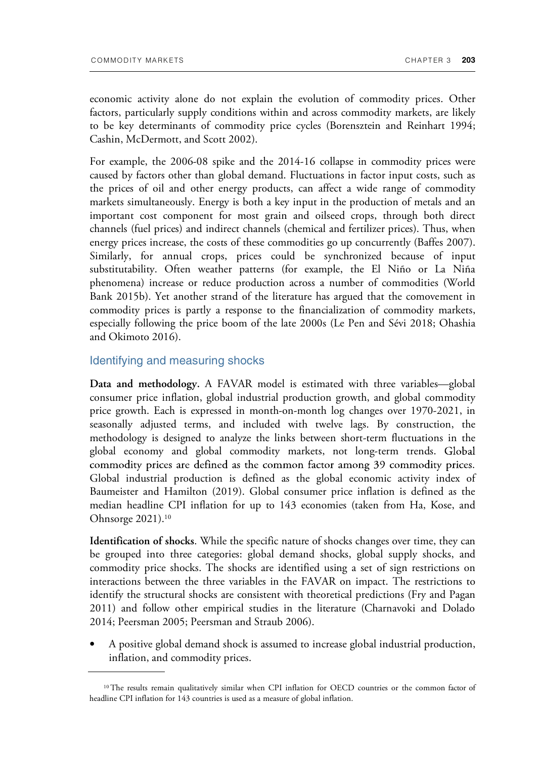economic activity alone do not explain the evolution of commodity prices. Other factors, particularly supply conditions within and across commodity markets, are likely to be key determinants of commodity price cycles (Borensztein and Reinhart 1994; Cashin, McDermott, and Scott 2002).

For example, the 2006-08 spike and the 2014-16 collapse in commodity prices were caused by factors other than global demand. Fluctuations in factor input costs, such as the prices of oil and other energy products, can affect a wide range of commodity markets simultaneously. Energy is both a key input in the production of metals and an important cost component for most grain and oilseed crops, through both direct channels (fuel prices) and indirect channels (chemical and fertilizer prices). Thus, when energy prices increase, the costs of these commodities go up concurrently (Baffes 2007). Similarly, for annual crops, prices could be synchronized because of input substitutability. Often weather patterns (for example, the El Niño or La Niña phenomena) increase or reduce production across a number of commodities (World Bank 2015b). Yet another strand of the literature has argued that the comovement in commodity prices is partly a response to the financialization of commodity markets, especially following the price boom of the late 2000s (Le Pen and Sévi 2018; Ohashia and Okimoto 2016).

#### Identifying and measuring shocks

**Data and methodology.** A FAVAR model is estimated with three variables—global consumer price inflation, global industrial production growth, and global commodity price growth. Each is expressed in month-on-month log changes over 1970-2021, in seasonally adjusted terms, and included with twelve lags. By construction, the methodology is designed to analyze the links between short-term fluctuations in the global economy and global commodity markets, not long-term trends. commodity prices are defined as the common factor among 39 commodity prices. Global industrial production is defined as the global economic activity index of Baumeister and Hamilton (2019). Global consumer price inflation is defined as the median headline CPI inflation for up to 143 economies (taken from Ha, Kose, and Ohnsorge 2021).<sup>10</sup>

**Identification of shocks**. While the specific nature of shocks changes over time, they can be grouped into three categories: global demand shocks, global supply shocks, and commodity price shocks. The shocks are identified using a set of sign restrictions on interactions between the three variables in the FAVAR on impact. The restrictions to identify the structural shocks are consistent with theoretical predictions (Fry and Pagan 2011) and follow other empirical studies in the literature (Charnavoki and Dolado 2014; Peersman 2005; Peersman and Straub 2006).

• A positive global demand shock is assumed to increase global industrial production, inflation, and commodity prices.

<sup>&</sup>lt;sup>10</sup>The results remain qualitatively similar when CPI inflation for OECD countries or the common factor of headline CPI inflation for 143 countries is used as a measure of global inflation.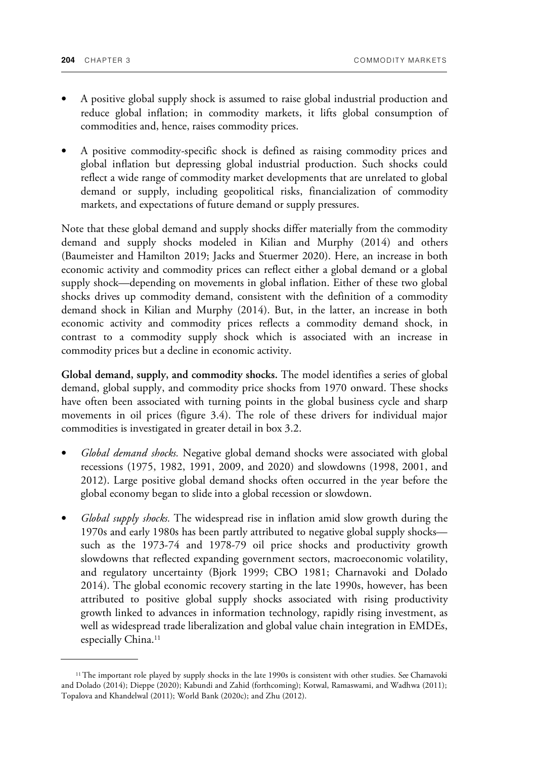- A positive global supply shock is assumed to raise global industrial production and reduce global inflation; in commodity markets, it lifts global consumption of commodities and, hence, raises commodity prices.
- A positive commodity-specific shock is defined as raising commodity prices and global inflation but depressing global industrial production. Such shocks could reflect a wide range of commodity market developments that are unrelated to global demand or supply, including geopolitical risks, financialization of commodity markets, and expectations of future demand or supply pressures.

Note that these global demand and supply shocks differ materially from the commodity demand and supply shocks modeled in Kilian and Murphy (2014) and others (Baumeister and Hamilton 2019; Jacks and Stuermer 2020). Here, an increase in both economic activity and commodity prices can reflect either a global demand or a global supply shock—depending on movements in global inflation. Either of these two global shocks drives up commodity demand, consistent with the definition of a commodity demand shock in Kilian and Murphy (2014). But, in the latter, an increase in both economic activity and commodity prices reflects a commodity demand shock, in contrast to a commodity supply shock which is associated with an increase in commodity prices but a decline in economic activity.

**Global demand, supply, and commodity shocks.** The model identifies a series of global demand, global supply, and commodity price shocks from 1970 onward. These shocks have often been associated with turning points in the global business cycle and sharp movements in oil prices (figure 3.4). The role of these drivers for individual major commodities is investigated in greater detail in box 3.2.

- *Global demand shocks.* Negative global demand shocks were associated with global recessions (1975, 1982, 1991, 2009, and 2020) and slowdowns (1998, 2001, and 2012). Large positive global demand shocks often occurred in the year before the global economy began to slide into a global recession or slowdown.
- *Global supply shocks.* The widespread rise in inflation amid slow growth during the 1970s and early 1980s has been partly attributed to negative global supply shocks such as the 1973-74 and 1978-79 oil price shocks and productivity growth slowdowns that reflected expanding government sectors, macroeconomic volatility, and regulatory uncertainty (Bjork 1999; CBO 1981; Charnavoki and Dolado 2014). The global economic recovery starting in the late 1990s, however, has been attributed to positive global supply shocks associated with rising productivity growth linked to advances in information technology, rapidly rising investment, as well as widespread trade liberalization and global value chain integration in EMDEs, especially China.<sup>11</sup>

<sup>&</sup>lt;sup>11</sup>The important role played by supply shocks in the late 1990s is consistent with other studies. See Charnavoki and Dolado (2014); Dieppe (2020); Kabundi and Zahid (forthcoming); Kotwal, Ramaswami, and Wadhwa (2011); Topalova and Khandelwal (2011); World Bank (2020c); and Zhu (2012).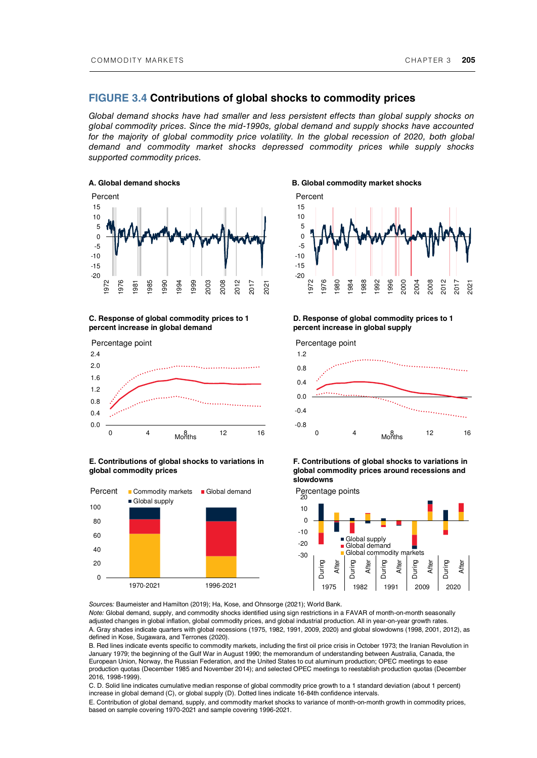#### **FIGURE 3.4 Contributions of global shocks to commodity prices**

*Global demand shocks have had smaller and less persistent effects than global supply shocks on global commodity prices. Since the mid-1990s, global demand and supply shocks have accounted*  for the majority of global commodity price volatility. In the global recession of 2020, both global *demand and commodity market shocks depressed commodity prices while supply shocks supported commodity prices.* 



#### **C. Response of global commodity prices to 1 percent increase in global demand**



#### **E. Contributions of global shocks to variations in global commodity prices**





#### **D. Response of global commodity prices to 1 percent increase in global supply**



**F. Contributions of global shocks to variations in global commodity prices around recessions and slowdowns** 



*Source*s*:* Baumeister and Hamilton (2019); Ha, Kose, and Ohnsorge (2021); World Bank.

*Note:* Global demand, supply, and commodity shocks identified using sign restrictions in a FAVAR of month-on-month seasonally adjusted changes in global inflation, global commodity prices, and global industrial production. All in year-on-year growth rates. A. Gray shades indicate quarters with global recessions (1975, 1982, 1991, 2009, 2020) and global slowdowns (1998, 2001, 2012), as defined in Kose, Sugawara, and Terrones (2020).

B. Red lines indicate events specific to commodity markets, including the first oil price crisis in October 1973; the Iranian Revolution in January 1979; the beginning of the Gulf War in August 1990; the memorandum of understanding between Australia, Canada, the European Union, Norway, the Russian Federation, and the United States to cut aluminum production; OPEC meetings to ease production quotas (December 1985 and November 2014); and selected OPEC meetings to reestablish production quotas (December 2016, 1998-1999).

C. D. Solid line indicates cumulative median response of global commodity price growth to a 1 standard deviation (about 1 percent) increase in global demand (C), or global supply (D). Dotted lines indicate 16-84th confidence intervals.

E. Contribution of global demand, supply, and commodity market shocks to variance of month-on-month growth in commodity prices, based on sample covering 1970-2021 and sample covering 1996-2021.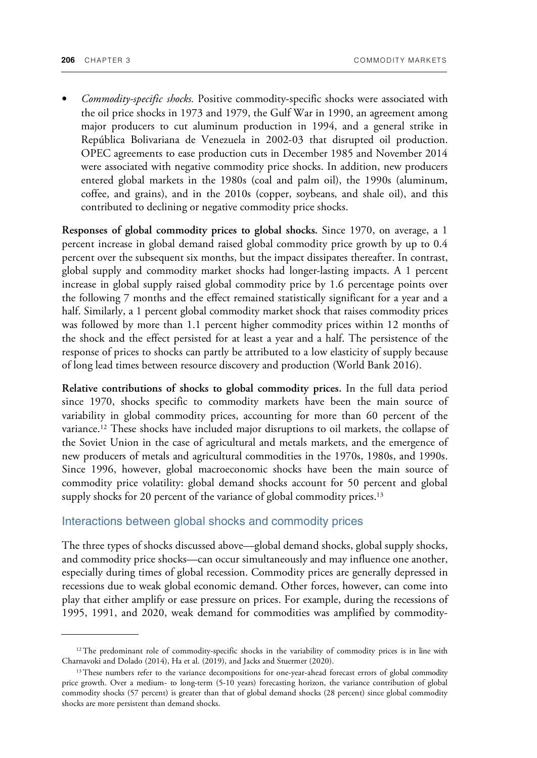• *Commodity-specific shocks.* Positive commodity-specific shocks were associated with the oil price shocks in 1973 and 1979, the Gulf War in 1990, an agreement among major producers to cut aluminum production in 1994, and a general strike in República Bolivariana de Venezuela in 2002-03 that disrupted oil production. OPEC agreements to ease production cuts in December 1985 and November 2014 were associated with negative commodity price shocks. In addition, new producers entered global markets in the 1980s (coal and palm oil), the 1990s (aluminum, coffee, and grains), and in the 2010s (copper, soybeans, and shale oil), and this contributed to declining or negative commodity price shocks.

**Responses of global commodity prices to global shocks.** Since 1970, on average, a 1 percent increase in global demand raised global commodity price growth by up to 0.4 percent over the subsequent six months, but the impact dissipates thereafter. In contrast, global supply and commodity market shocks had longer-lasting impacts. A 1 percent increase in global supply raised global commodity price by 1.6 percentage points over the following 7 months and the effect remained statistically significant for a year and a half. Similarly, a 1 percent global commodity market shock that raises commodity prices was followed by more than 1.1 percent higher commodity prices within 12 months of the shock and the effect persisted for at least a year and a half. The persistence of the response of prices to shocks can partly be attributed to a low elasticity of supply because of long lead times between resource discovery and production (World Bank 2016).

**Relative contributions of shocks to global commodity prices.** In the full data period since 1970, shocks specific to commodity markets have been the main source of variability in global commodity prices, accounting for more than 60 percent of the variance.12 These shocks have included major disruptions to oil markets, the collapse of the Soviet Union in the case of agricultural and metals markets, and the emergence of new producers of metals and agricultural commodities in the 1970s, 1980s, and 1990s. Since 1996, however, global macroeconomic shocks have been the main source of commodity price volatility: global demand shocks account for 50 percent and global supply shocks for 20 percent of the variance of global commodity prices.<sup>13</sup>

#### Interactions between global shocks and commodity prices

The three types of shocks discussed above—global demand shocks, global supply shocks, and commodity price shocks—can occur simultaneously and may influence one another, especially during times of global recession. Commodity prices are generally depressed in recessions due to weak global economic demand. Other forces, however, can come into play that either amplify or ease pressure on prices. For example, during the recessions of 1995, 1991, and 2020, weak demand for commodities was amplified by commodity-

<sup>&</sup>lt;sup>12</sup>The predominant role of commodity-specific shocks in the variability of commodity prices is in line with Charnavoki and Dolado (2014), Ha et al. (2019), and Jacks and Stuermer (2020).

<sup>&</sup>lt;sup>13</sup>These numbers refer to the variance decompositions for one-year-ahead forecast errors of global commodity price growth. Over a medium- to long-term (5-10 years) forecasting horizon, the variance contribution of global commodity shocks (57 percent) is greater than that of global demand shocks (28 percent) since global commodity shocks are more persistent than demand shocks.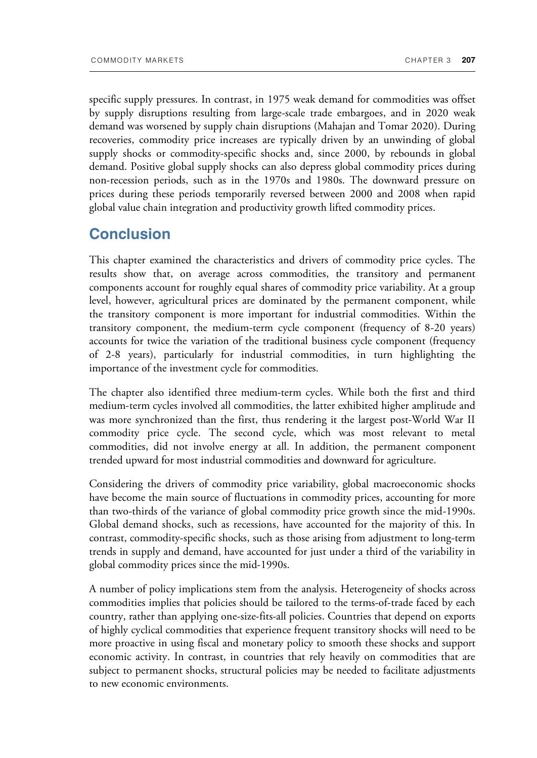specific supply pressures. In contrast, in 1975 weak demand for commodities was offset by supply disruptions resulting from large-scale trade embargoes, and in 2020 weak demand was worsened by supply chain disruptions (Mahajan and Tomar 2020). During recoveries, commodity price increases are typically driven by an unwinding of global supply shocks or commodity-specific shocks and, since 2000, by rebounds in global demand. Positive global supply shocks can also depress global commodity prices during non-recession periods, such as in the 1970s and 1980s. The downward pressure on prices during these periods temporarily reversed between 2000 and 2008 when rapid global value chain integration and productivity growth lifted commodity prices.

### **Conclusion**

This chapter examined the characteristics and drivers of commodity price cycles. The results show that, on average across commodities, the transitory and permanent components account for roughly equal shares of commodity price variability. At a group level, however, agricultural prices are dominated by the permanent component, while the transitory component is more important for industrial commodities. Within the transitory component, the medium-term cycle component (frequency of 8-20 years) accounts for twice the variation of the traditional business cycle component (frequency of 2-8 years), particularly for industrial commodities, in turn highlighting the importance of the investment cycle for commodities.

The chapter also identified three medium-term cycles. While both the first and third medium-term cycles involved all commodities, the latter exhibited higher amplitude and was more synchronized than the first, thus rendering it the largest post-World War II commodity price cycle. The second cycle, which was most relevant to metal commodities, did not involve energy at all. In addition, the permanent component trended upward for most industrial commodities and downward for agriculture.

Considering the drivers of commodity price variability, global macroeconomic shocks have become the main source of fluctuations in commodity prices, accounting for more than two-thirds of the variance of global commodity price growth since the mid-1990s. Global demand shocks, such as recessions, have accounted for the majority of this. In contrast, commodity-specific shocks, such as those arising from adjustment to long-term trends in supply and demand, have accounted for just under a third of the variability in global commodity prices since the mid-1990s.

A number of policy implications stem from the analysis. Heterogeneity of shocks across commodities implies that policies should be tailored to the terms-of-trade faced by each country, rather than applying one-size-fits-all policies. Countries that depend on exports of highly cyclical commodities that experience frequent transitory shocks will need to be more proactive in using fiscal and monetary policy to smooth these shocks and support economic activity. In contrast, in countries that rely heavily on commodities that are subject to permanent shocks, structural policies may be needed to facilitate adjustments to new economic environments.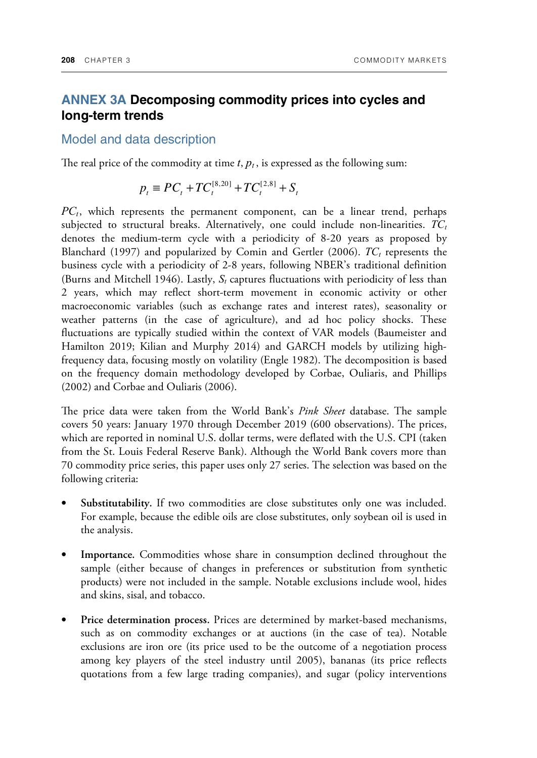### **ANNEX 3A Decomposing commodity prices into cycles and long-term trends**

Model and data description

The real price of the commodity at time  $t$ ,  $p_t$ , is expressed as the following sum:

$$
p_t \equiv PC_t + TC_t^{[8,20]} + TC_t^{[2,8]} + S_t
$$

*PC<sup>t</sup>* , which represents the permanent component, can be a linear trend, perhaps subjected to structural breaks. Alternatively, one could include non-linearities. *TC<sup>t</sup>* denotes the medium-term cycle with a periodicity of 8-20 years as proposed by Blanchard (1997) and popularized by Comin and Gertler (2006). *TC<sup>t</sup>* represents the business cycle with a periodicity of 2-8 years, following NBER's traditional definition (Burns and Mitchell 1946). Lastly,  $S_t$  captures fluctuations with periodicity of less than 2 years, which may reflect short-term movement in economic activity or other macroeconomic variables (such as exchange rates and interest rates), seasonality or weather patterns (in the case of agriculture), and ad hoc policy shocks. These fluctuations are typically studied within the context of VAR models (Baumeister and Hamilton 2019; Kilian and Murphy 2014) and GARCH models by utilizing highfrequency data, focusing mostly on volatility (Engle 1982). The decomposition is based on the frequency domain methodology developed by Corbae, Ouliaris, and Phillips (2002) and Corbae and Ouliaris (2006).

The price data were taken from the World Bank's *Pink Sheet* database. The sample covers 50 years: January 1970 through December 2019 (600 observations). The prices, which are reported in nominal U.S. dollar terms, were deflated with the U.S. CPI (taken from the St. Louis Federal Reserve Bank). Although the World Bank covers more than 70 commodity price series, this paper uses only 27 series. The selection was based on the following criteria:

- **Substitutability.** If two commodities are close substitutes only one was included. For example, because the edible oils are close substitutes, only soybean oil is used in the analysis.
- **Importance.** Commodities whose share in consumption declined throughout the sample (either because of changes in preferences or substitution from synthetic products) were not included in the sample. Notable exclusions include wool, hides and skins, sisal, and tobacco.
- **Price determination process.** Prices are determined by market-based mechanisms, such as on commodity exchanges or at auctions (in the case of tea). Notable exclusions are iron ore (its price used to be the outcome of a negotiation process among key players of the steel industry until 2005), bananas (its price reflects quotations from a few large trading companies), and sugar (policy interventions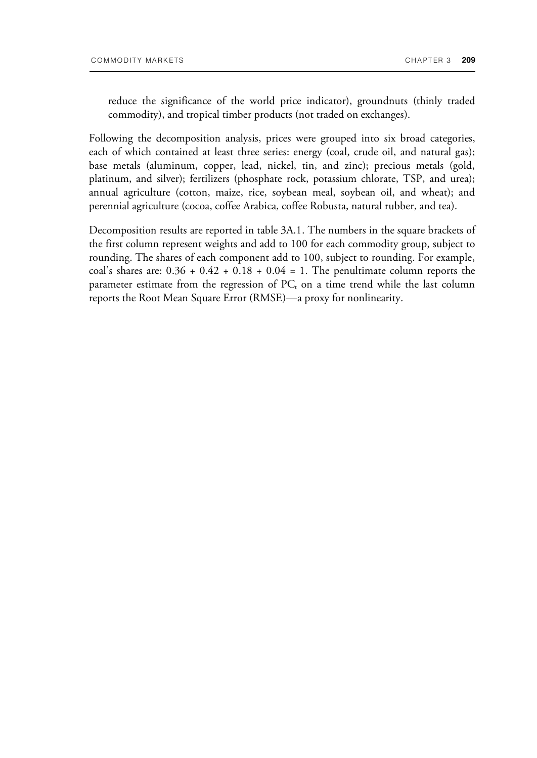reduce the significance of the world price indicator), groundnuts (thinly traded commodity), and tropical timber products (not traded on exchanges).

Following the decomposition analysis, prices were grouped into six broad categories, each of which contained at least three series: energy (coal, crude oil, and natural gas); base metals (aluminum, copper, lead, nickel, tin, and zinc); precious metals (gold, platinum, and silver); fertilizers (phosphate rock, potassium chlorate, TSP, and urea); annual agriculture (cotton, maize, rice, soybean meal, soybean oil, and wheat); and perennial agriculture (cocoa, coffee Arabica, coffee Robusta, natural rubber, and tea).

Decomposition results are reported in table 3A.1. The numbers in the square brackets of the first column represent weights and add to 100 for each commodity group, subject to rounding. The shares of each component add to 100, subject to rounding. For example, coal's shares are:  $0.36 + 0.42 + 0.18 + 0.04 = 1$ . The penultimate column reports the parameter estimate from the regression of  $PC_t$  on a time trend while the last column reports the Root Mean Square Error (RMSE)—a proxy for nonlinearity.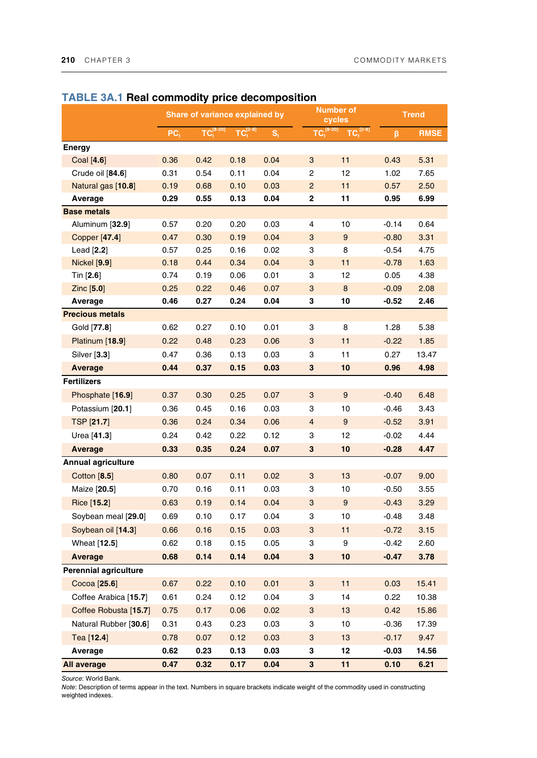|                           | Share of variance explained by |      |            |                         | <b>Number of</b><br>cycles |         | <b>Trend</b> |             |
|---------------------------|--------------------------------|------|------------|-------------------------|----------------------------|---------|--------------|-------------|
|                           | PC <sub>t</sub>                |      | $TC1[2-8]$ | $\mathbf{S}_\mathrm{t}$ | $TC18-20$                  | $[2-8]$ | β            | <b>RMSE</b> |
| <b>Energy</b>             |                                |      |            |                         |                            |         |              |             |
| Coal $[4.6]$              | 0.36                           | 0.42 | 0.18       | 0.04                    | 3                          | 11      | 0.43         | 5.31        |
| Crude oil [84.6]          | 0.31                           | 0.54 | 0.11       | 0.04                    | 2                          | 12      | 1.02         | 7.65        |
| Natural gas [10.8]        | 0.19                           | 0.68 | 0.10       | 0.03                    | $\overline{c}$             | 11      | 0.57         | 2.50        |
| Average                   | 0.29                           | 0.55 | 0.13       | 0.04                    | 2                          | 11      | 0.95         | 6.99        |
| <b>Base metals</b>        |                                |      |            |                         |                            |         |              |             |
| Aluminum [32.9]           | 0.57                           | 0.20 | 0.20       | 0.03                    | 4                          | 10      | $-0.14$      | 0.64        |
| Copper [47.4]             | 0.47                           | 0.30 | 0.19       | 0.04                    | 3                          | 9       | $-0.80$      | 3.31        |
| Lead [2.2]                | 0.57                           | 0.25 | 0.16       | 0.02                    | 3                          | 8       | $-0.54$      | 4.75        |
| <b>Nickel [9.9]</b>       | 0.18                           | 0.44 | 0.34       | 0.04                    | 3                          | 11      | $-0.78$      | 1.63        |
| Tin $[2.6]$               | 0.74                           | 0.19 | 0.06       | 0.01                    | 3                          | 12      | 0.05         | 4.38        |
| Zinc[5.0]                 | 0.25                           | 0.22 | 0.46       | 0.07                    | 3                          | $\bf 8$ | $-0.09$      | 2.08        |
| Average                   | 0.46                           | 0.27 | 0.24       | 0.04                    | 3                          | 10      | $-0.52$      | 2.46        |
| <b>Precious metals</b>    |                                |      |            |                         |                            |         |              |             |
| Gold [77.8]               | 0.62                           | 0.27 | 0.10       | 0.01                    | 3                          | 8       | 1.28         | 5.38        |
| Platinum [18.9]           | 0.22                           | 0.48 | 0.23       | 0.06                    | 3                          | 11      | $-0.22$      | 1.85        |
| Silver [3.3]              | 0.47                           | 0.36 | 0.13       | 0.03                    | 3                          | 11      | 0.27         | 13.47       |
| Average                   | 0.44                           | 0.37 | 0.15       | 0.03                    | 3                          | 10      | 0.96         | 4.98        |
| <b>Fertilizers</b>        |                                |      |            |                         |                            |         |              |             |
| Phosphate [16.9]          | 0.37                           | 0.30 | 0.25       | 0.07                    | 3                          | 9       | $-0.40$      | 6.48        |
| Potassium [20.1]          | 0.36                           | 0.45 | 0.16       | 0.03                    | 3                          | 10      | $-0.46$      | 3.43        |
| TSP [21.7]                | 0.36                           | 0.24 | 0.34       | 0.06                    | 4                          | 9       | $-0.52$      | 3.91        |
| Urea [41.3]               | 0.24                           | 0.42 | 0.22       | 0.12                    | 3                          | 12      | $-0.02$      | 4.44        |
| Average                   | 0.33                           | 0.35 | 0.24       | 0.07                    | 3                          | 10      | $-0.28$      | 4.47        |
| <b>Annual agriculture</b> |                                |      |            |                         |                            |         |              |             |
| Cotton [8.5]              | 0.80                           | 0.07 | 0.11       | 0.02                    | 3                          | 13      | $-0.07$      | 9.00        |
| Maize [20.5]              | 0.70                           | 0.16 | 0.11       | 0.03                    | 3                          | 10      | $-0.50$      | 3.55        |
| Rice [15.2]               | 0.63                           | 0.19 | 0.14       | 0.04                    | 3                          | 9       | $-0.43$      | 3.29        |
| Soybean meal [29.0]       | 0.69                           | 0.10 | 0.17       | 0.04                    | 3                          | 10      | $-0.48$      | 3.48        |
| Soybean oil [14.3]        | 0.66                           | 0.16 | 0.15       | 0.03                    | 3                          | 11      | $-0.72$      | 3.15        |
| Wheat [12.5]              | 0.62                           | 0.18 | 0.15       | 0.05                    | 3                          | 9       | $-0.42$      | 2.60        |
| <b>Average</b>            | 0.68                           | 0.14 | 0.14       | 0.04                    | 3                          | 10      | $-0.47$      | 3.78        |
| Perennial agriculture     |                                |      |            |                         |                            |         |              |             |
| Cocoa [25.6]              | 0.67                           | 0.22 | 0.10       | 0.01                    | 3                          | 11      | 0.03         | 15.41       |
| Coffee Arabica [15.7]     | 0.61                           | 0.24 | 0.12       | 0.04                    | 3                          | 14      | 0.22         | 10.38       |
| Coffee Robusta [15.7]     | 0.75                           | 0.17 | 0.06       | 0.02                    | 3                          | 13      | 0.42         | 15.86       |
| Natural Rubber [30.6]     | 0.31                           | 0.43 | 0.23       | 0.03                    | 3                          | 10      | $-0.36$      | 17.39       |
| Tea [12.4]                | 0.78                           | 0.07 | 0.12       | 0.03                    | 3                          | 13      | $-0.17$      | 9.47        |
| Average                   | 0.62                           | 0.23 | 0.13       | 0.03                    | 3                          | 12      | $-0.03$      | 14.56       |
|                           |                                |      | 0.17       |                         |                            | 11      |              |             |
| All average               | 0.47                           | 0.32 |            | 0.04                    | 3                          |         | 0.10         | 6.21        |

#### **TABLE 3A.1 Real commodity price decomposition**

*Source*: World Bank.

*Note*: Description of terms appear in the text. Numbers in square brackets indicate weight of the commodity used in constructing weighted indexes.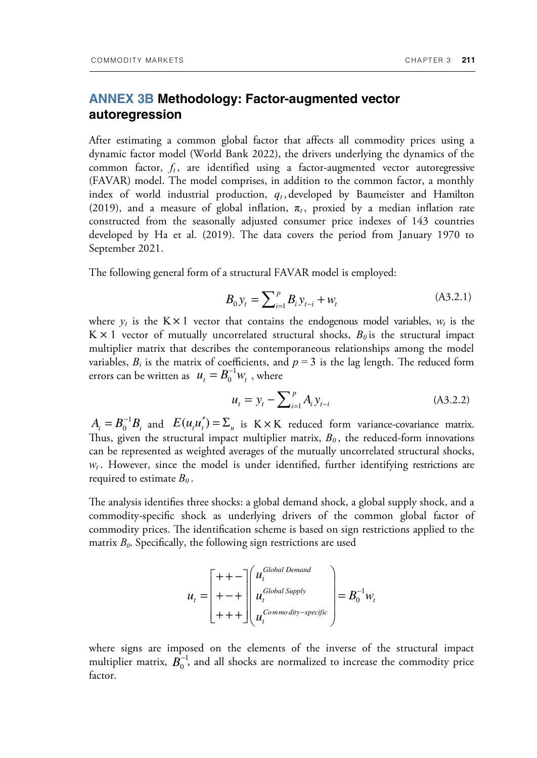### **ANNEX 3B Methodology: Factor-augmented vector autoregression**

After estimating a common global factor that affects all commodity prices using a dynamic factor model (World Bank 2022), the drivers underlying the dynamics of the common factor,  $f_t$ , are identified using a factor-augmented vector autoregressive (FAVAR) model. The model comprises, in addition to the common factor, a monthly index of world industrial production,  $q_t$ , developed by Baumeister and Hamilton (2019), and a measure of global inflation,  $\pi$ , proxied by a median inflation rate constructed from the seasonally adjusted consumer price indexes of 143 countries developed by Ha et al. (2019). The data covers the period from January 1970 to September 2021.

The following general form of a structural FAVAR model is employed:

$$
B_0 y_t = \sum_{i=1}^p B_i y_{t-i} + w_t \tag{A3.2.1}
$$

where  $y_t$  is the  $K \times 1$  vector that contains the endogenous model variables,  $w_t$  is the  $K \times 1$  vector of mutually uncorrelated structural shocks,  $B_0$  is the structural impact multiplier matrix that describes the contemporaneous relationships among the model variables,  $B_i$  is the matrix of coefficients, and  $p = 3$  is the lag length. The reduced form errors can be written as  $u_t = B_0^{-1} w_t$ , where  $u_t = B_0^{-1} w_t$ 

$$
u_t = y_t - \sum_{i=1}^p A_i y_{t-i}
$$
 (A3.2.2)

 $A_i = B_0^{-1} B_i$  and  $E(u_i u_i') = \sum_u$  is  $K \times K$  reduced form variance-covariance matrix. Thus, given the structural impact multiplier matrix,  $B_0$ , the reduced-form innovations can be represented as weighted averages of the mutually uncorrelated structural shocks,  $w_t$ . However, since the model is under identified, further identifying restrictions are required to estimate *B0* .

The analysis identifies three shocks: a global demand shock, a global supply shock, and a commodity-specific shock as underlying drivers of the common global factor of commodity prices. The identification scheme is based on sign restrictions applied to the matrix *B<sup>0</sup>* . Specifically, the following sign restrictions are used

$$
u_{t} = \begin{bmatrix} + & + & - \\ + & + & \cdots \\ + & + & \cdots \\ + & + & + \end{bmatrix} \begin{pmatrix} u_{t}^{Global\ Demand} \\ u_{t}^{Global\ Supply} \\ u_{t}^{Commodity-specific} \end{pmatrix} = B_{0}^{-1} w_{t}
$$

where signs are imposed on the elements of the inverse of the structural impact multiplier matrix,  $\mathbf{B}_0^{-1}$ , and all shocks are normalized to increase the commodity price factor.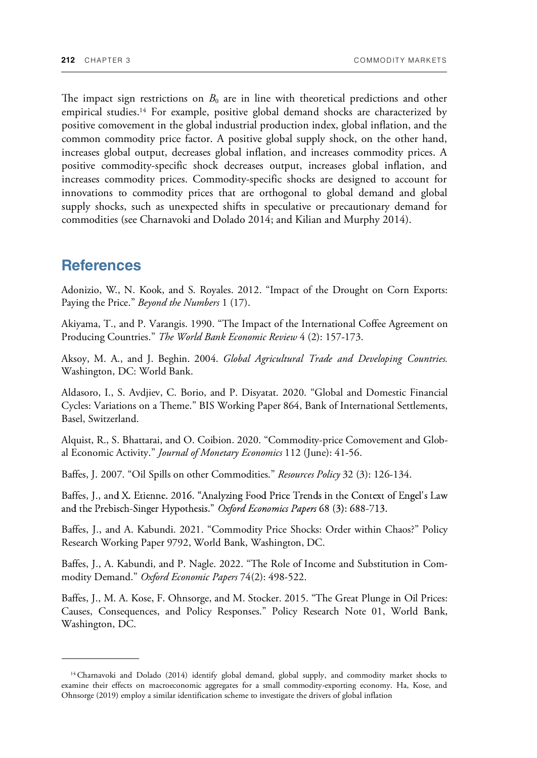The impact sign restrictions on  $B_0$  are in line with theoretical predictions and other empirical studies.14 For example, positive global demand shocks are characterized by positive comovement in the global industrial production index, global inflation, and the common commodity price factor. A positive global supply shock, on the other hand, increases global output, decreases global inflation, and increases commodity prices. A positive commodity-specific shock decreases output, increases global inflation, and increases commodity prices. Commodity-specific shocks are designed to account for innovations to commodity prices that are orthogonal to global demand and global supply shocks, such as unexpected shifts in speculative or precautionary demand for commodities (see Charnavoki and Dolado 2014; and Kilian and Murphy 2014).

### **References**

Adonizio, W., N. Kook, and S. Royales. 2012. "Impact of the Drought on Corn Exports: Paying the Price." *Beyond the Numbers* 1 (17).

Akiyama, T., and P. Varangis. 1990. "The Impact of the International Coffee Agreement on Producing Countries." *The World Bank Economic Review* 4 (2): 157-173.

Aksoy, M. A., and J. Beghin. 2004. *Global Agricultural Trade and Developing Countries.* Washington, DC: World Bank.

Aldasoro, I., S. Avdjiev, C. Borio, and P. Disyatat. 2020. "Global and Domestic Financial Cycles: Variations on a Theme." BIS Working Paper 864, Bank of International Settlements, Basel, Switzerland.

Alquist, R., S. Bhattarai, and O. Coibion. 2020. "Commodity-price Comovement and Global Economic Activity." *Journal of Monetary Economics* 112 (June): 41-56.

Baffes, J. 2007. "Oil Spills on other Commodities." *Resources Policy* 32 (3): 126-134.

Baffes, J., and X. Etienne. 2016. "Analyzing Food Price Trends in the Context of Engel's Law and the Prebisch-Singer Hypothesis." Oxford Economics Papers 68 (3): 688-713.

Baffes, J., and A. Kabundi. 2021. "Commodity Price Shocks: Order within Chaos?" Policy Research Working Paper 9792, World Bank, Washington, DC.

Baffes, J., A. Kabundi, and P. Nagle. 2022. "The Role of Income and Substitution in Commodity Demand." *Oxford Economic Papers* 74(2): 498-522.

Baffes, J., M. A. Kose, F. Ohnsorge, and M. Stocker. 2015. "The Great Plunge in Oil Prices: Causes, Consequences, and Policy Responses." Policy Research Note 01, World Bank, Washington, DC.

<sup>&</sup>lt;sup>14</sup> Charnavoki and Dolado (2014) identify global demand, global supply, and commodity market shocks to examine their effects on macroeconomic aggregates for a small commodity-exporting economy. Ha, Kose, and Ohnsorge (2019) employ a similar identification scheme to investigate the drivers of global inflation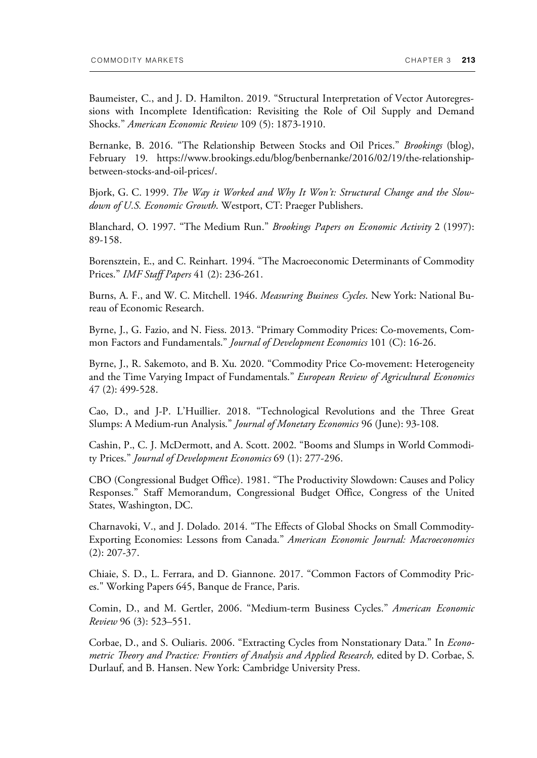Baumeister, C., and J. D. Hamilton. 2019. "Structural Interpretation of Vector Autoregressions with Incomplete Identification: Revisiting the Role of Oil Supply and Demand Shocks." *American Economic Review* 109 (5): 1873-1910.

Bernanke, B. 2016. "The Relationship Between Stocks and Oil Prices." *Brookings* (blog), February 19. https://www.brookings.edu/blog/benbernanke/2016/02/19/the-relationshipbetween-stocks-and-oil-prices/.

Bjork, G. C. 1999. *The Way it Worked and Why It Won't: Structural Change and the Slowdown of U.S. Economic Growth*. Westport, CT: Praeger Publishers.

Blanchard, O. 1997. "The Medium Run." *Brookings Papers on Economic Activity* 2 (1997): 89-158.

Borensztein, E., and C. Reinhart. 1994. "The Macroeconomic Determinants of Commodity Prices." *IMF Staff Papers* 41 (2): 236-261.

Burns, A. F., and W. C. Mitchell. 1946. *Measuring Business Cycles*. New York: National Bureau of Economic Research.

Byrne, J., G. Fazio, and N. Fiess. 2013. "Primary Commodity Prices: Co-movements, Common Factors and Fundamentals." *Journal of Development Economics* 101 (C): 16-26.

Byrne, J., R. Sakemoto, and B. Xu. 2020. "Commodity Price Co-movement: Heterogeneity and the Time Varying Impact of Fundamentals." *European Review of Agricultural Economics* 47 (2): 499-528.

Cao, D., and J-P. L'Huillier. 2018. "Technological Revolutions and the Three Great Slumps: A Medium-run Analysis." *Journal of Monetary Economics* 96 (June): 93-108.

Cashin, P., C. J. McDermott, and A. Scott. 2002. "Booms and Slumps in World Commodity Prices." *Journal of Development Economics* 69 (1): 277-296.

CBO (Congressional Budget Office). 1981. "The Productivity Slowdown: Causes and Policy Responses." Staff Memorandum, Congressional Budget Office, Congress of the United States, Washington, DC.

Charnavoki, V., and J. Dolado. 2014. "The Effects of Global Shocks on Small Commodity-Exporting Economies: Lessons from Canada." *American Economic Journal: Macroeconomics*  (2): 207-37.

Chiaie, S. D., L. Ferrara, and D. Giannone. 2017. "Common Factors of Commodity Prices." Working Papers 645, Banque de France, Paris.

Comin, D., and M. Gertler, 2006. "Medium-term Business Cycles." *American Economic Review* 96 (3): 523–551.

Corbae, D., and S. Ouliaris. 2006. "Extracting Cycles from Nonstationary Data." In *Econometric Theory and Practice: Frontiers of Analysis and Applied Research,* edited by D. Corbae, S. Durlauf, and B. Hansen. New York: Cambridge University Press.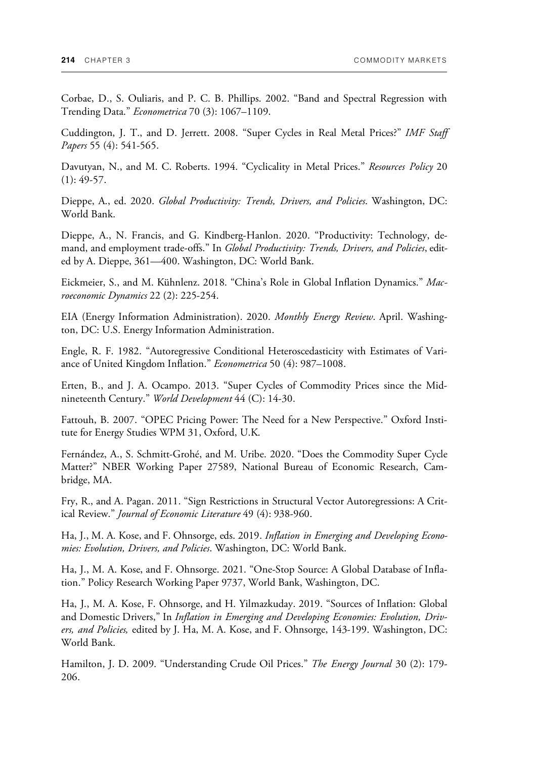Corbae, D., S. Ouliaris, and P. C. B. Phillips. 2002. "Band and Spectral Regression with Trending Data." *Econometrica* 70 (3): 1067–1109.

Cuddington, J. T., and D. Jerrett. 2008. "Super Cycles in Real Metal Prices?" *IMF Staff Papers* 55 (4): 541-565.

Davutyan, N., and M. C. Roberts. 1994. "Cyclicality in Metal Prices." *Resources Policy* 20  $(1): 49-57.$ 

Dieppe, A., ed. 2020. *Global Productivity: Trends, Drivers, and Policies*. Washington, DC: World Bank.

Dieppe, A., N. Francis, and G. Kindberg-Hanlon. 2020. "Productivity: Technology, demand, and employment trade-offs." In *Global Productivity: Trends, Drivers, and Policies*, edited by A. Dieppe, 361—400. Washington, DC: World Bank.

Eickmeier, S., and M. Kühnlenz. 2018. "China's Role in Global Inflation Dynamics." *Macroeconomic Dynamics* 22 (2): 225-254.

EIA (Energy Information Administration). 2020. *Monthly Energy Review*. April. Washington, DC: U.S. Energy Information Administration.

Engle, R. F. 1982. "Autoregressive Conditional Heteroscedasticity with Estimates of Variance of United Kingdom Inflation." *Econometrica* 50 (4): 987–1008.

Erten, B., and J. A. Ocampo. 2013. "Super Cycles of Commodity Prices since the Midnineteenth Century." *World Development* 44 (C): 14-30.

Fattouh, B. 2007. "OPEC Pricing Power: The Need for a New Perspective." Oxford Institute for Energy Studies WPM 31, Oxford, U.K.

Fernández, A., S. Schmitt-Grohé, and M. Uribe. 2020. "Does the Commodity Super Cycle Matter?" NBER Working Paper 27589, National Bureau of Economic Research, Cambridge, MA.

Fry, R., and A. Pagan. 2011. "Sign Restrictions in Structural Vector Autoregressions: A Critical Review." *Journal of Economic Literature* 49 (4): 938-960.

Ha, J., M. A. Kose, and F. Ohnsorge, eds. 2019. *Inflation in Emerging and Developing Economies: Evolution, Drivers, and Policies*. Washington, DC: World Bank.

Ha, J., M. A. Kose, and F. Ohnsorge. 2021. "One-Stop Source: A Global Database of Inflation." Policy Research Working Paper 9737, World Bank, Washington, DC.

Ha, J., M. A. Kose, F. Ohnsorge, and H. Yilmazkuday. 2019. "Sources of Inflation: Global and Domestic Drivers," In *Inflation in Emerging and Developing Economies: Evolution, Drivers, and Policies,* edited by J. Ha, M. A. Kose, and F. Ohnsorge, 143-199. Washington, DC: World Bank.

Hamilton, J. D. 2009. "Understanding Crude Oil Prices." *The Energy Journal* 30 (2): 179- 206.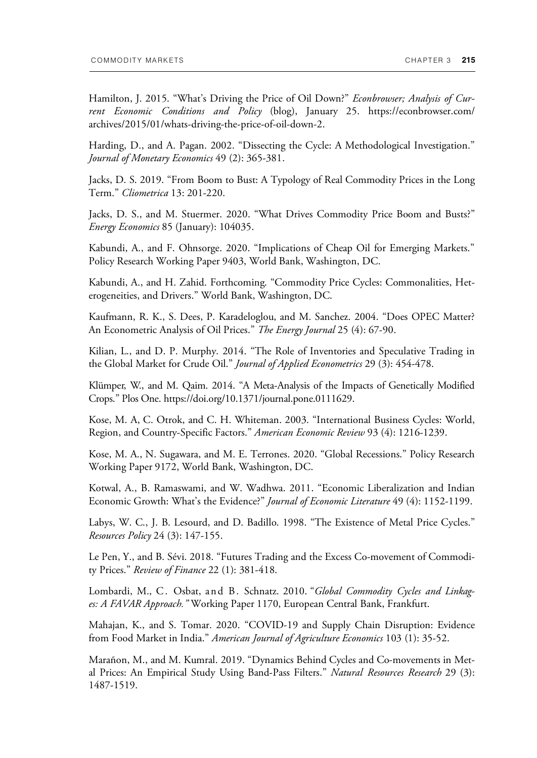Hamilton, J. 2015. "What's Driving the Price of Oil Down?" *Econbrowser; Analysis of Current Economic Conditions and Policy* (blog), January 25. https://econbrowser.com/ archives/2015/01/whats-driving-the-price-of-oil-down-2.

Harding, D., and A. Pagan. 2002. "Dissecting the Cycle: A Methodological Investigation." *Journal of Monetary Economics* 49 (2): 365-381.

Jacks, D. S. 2019. "From Boom to Bust: A Typology of Real Commodity Prices in the Long Term." *Cliometrica* 13: 201-220.

Jacks, D. S., and M. Stuermer. 2020. "What Drives Commodity Price Boom and Busts?" *Energy Economics* 85 (January): 104035.

Kabundi, A., and F. Ohnsorge. 2020. "Implications of Cheap Oil for Emerging Markets." Policy Research Working Paper 9403, World Bank, Washington, DC.

Kabundi, A., and H. Zahid. Forthcoming. "Commodity Price Cycles: Commonalities, Heterogeneities, and Drivers." World Bank, Washington, DC.

Kaufmann, R. K., S. Dees, P. Karadeloglou, and M. Sanchez. 2004. "Does OPEC Matter? An Econometric Analysis of Oil Prices." *The Energy Journal* 25 (4): 67-90.

Kilian, L., and D. P. Murphy. 2014. "The Role of Inventories and Speculative Trading in the Global Market for Crude Oil." *Journal of Applied Econometrics* 29 (3): 454-478.

Klümper, W., and M. Qaim. 2014. "A Meta-Analysis of the Impacts of Genetically Modified Crops." Plos One. https://doi.org/10.1371/journal.pone.0111629.

Kose, M. A, C. Otrok, and C. H. Whiteman. 2003. "International Business Cycles: World, Region, and Country-Specific Factors." *American Economic Review* 93 (4): 1216-1239.

Kose, M. A., N. Sugawara, and M. E. Terrones. 2020. "Global Recessions." Policy Research Working Paper 9172, World Bank, Washington, DC.

Kotwal, A., B. Ramaswami, and W. Wadhwa. 2011. "Economic Liberalization and Indian Economic Growth: What's the Evidence?" *Journal of Economic Literature* 49 (4): 1152-1199.

Labys, W. C., J. B. Lesourd, and D. Badillo. 1998. "The Existence of Metal Price Cycles." *Resources Policy* 24 (3): 147-155.

Le Pen, Y., and B. Sévi. 2018. "Futures Trading and the Excess Co-movement of Commodity Prices." *Review of Finance* 22 (1): 381-418.

Lombardi, M., C. Osbat, and B. Schnatz. 2010. "*Global Commodity Cycles and Linkages: A FAVAR Approach."* Working Paper 1170, European Central Bank, Frankfurt.

Mahajan, K., and S. Tomar. 2020. "COVID-19 and Supply Chain Disruption: Evidence from Food Market in India." *American Journal of Agriculture Economics* 103 (1): 35-52.

Marañon, M., and M. Kumral. 2019. "Dynamics Behind Cycles and Co-movements in Metal Prices: An Empirical Study Using Band-Pass Filters." *Natural Resources Research* 29 (3): 1487-1519.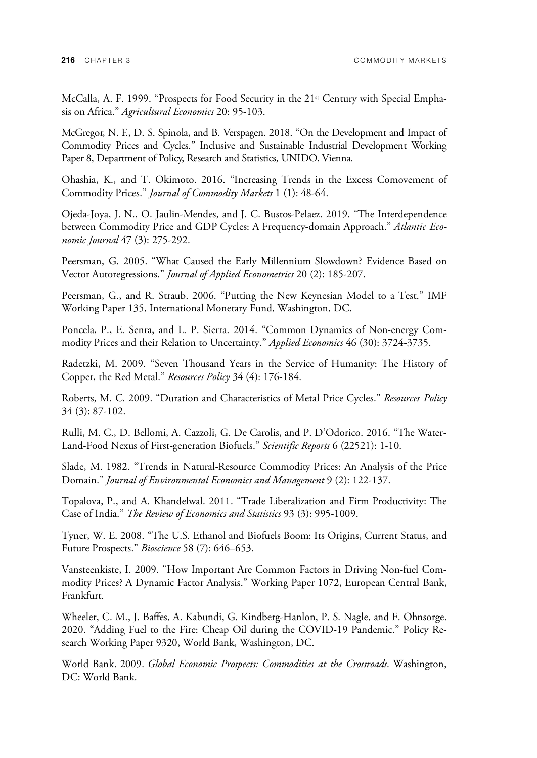McCalla, A. F. 1999. "Prospects for Food Security in the  $21<sup>st</sup>$  Century with Special Emphasis on Africa." *Agricultural Economics* 20: 95-103.

McGregor, N. F., D. S. Spinola, and B. Verspagen. 2018. "On the Development and Impact of Commodity Prices and Cycles." Inclusive and Sustainable Industrial Development Working Paper 8, Department of Policy, Research and Statistics, UNIDO, Vienna.

Ohashia, K., and T. Okimoto. 2016. "Increasing Trends in the Excess Comovement of Commodity Prices." *Journal of Commodity Markets* 1 (1): 48-64.

Ojeda-Joya, J. N., O. Jaulin-Mendes, and J. C. Bustos-Pelaez. 2019. "The Interdependence between Commodity Price and GDP Cycles: A Frequency-domain Approach." *Atlantic Economic Journal* 47 (3): 275-292.

Peersman, G. 2005. "What Caused the Early Millennium Slowdown? Evidence Based on Vector Autoregressions." *Journal of Applied Econometrics* 20 (2): 185-207.

Peersman, G., and R. Straub. 2006. "Putting the New Keynesian Model to a Test." IMF Working Paper 135, International Monetary Fund, Washington, DC.

Poncela, P., E. Senra, and L. P. Sierra. 2014. "Common Dynamics of Non-energy Commodity Prices and their Relation to Uncertainty." *Applied Economics* 46 (30): 3724-3735.

Radetzki, M. 2009. "Seven Thousand Years in the Service of Humanity: The History of Copper, the Red Metal." *Resources Policy* 34 (4): 176-184.

Roberts, M. C. 2009. "Duration and Characteristics of Metal Price Cycles." *Resources Policy* 34 (3): 87-102.

Rulli, M. C., D. Bellomi, A. Cazzoli, G. De Carolis, and P. D'Odorico. 2016. "The Water-Land-Food Nexus of First-generation Biofuels." *Scientific Reports* 6 (22521): 1-10.

Slade, M. 1982. "Trends in Natural-Resource Commodity Prices: An Analysis of the Price Domain." *Journal of Environmental Economics and Management* 9 (2): 122-137.

Topalova, P., and A. Khandelwal. 2011. "Trade Liberalization and Firm Productivity: The Case of India." *The Review of Economics and Statistics* 93 (3): 995-1009.

Tyner, W. E. 2008. "The U.S. Ethanol and Biofuels Boom: Its Origins, Current Status, and Future Prospects." *Bioscience* 58 (7): 646–653.

Vansteenkiste, I. 2009. "How Important Are Common Factors in Driving Non-fuel Commodity Prices? A Dynamic Factor Analysis." Working Paper 1072, European Central Bank, Frankfurt.

Wheeler, C. M., J. Baffes, A. Kabundi, G. Kindberg-Hanlon, P. S. Nagle, and F. Ohnsorge. 2020. "Adding Fuel to the Fire: Cheap Oil during the COVID-19 Pandemic." Policy Research Working Paper 9320, World Bank, Washington, DC.

World Bank. 2009. *Global Economic Prospects: Commodities at the Crossroads*. Washington, DC: World Bank.